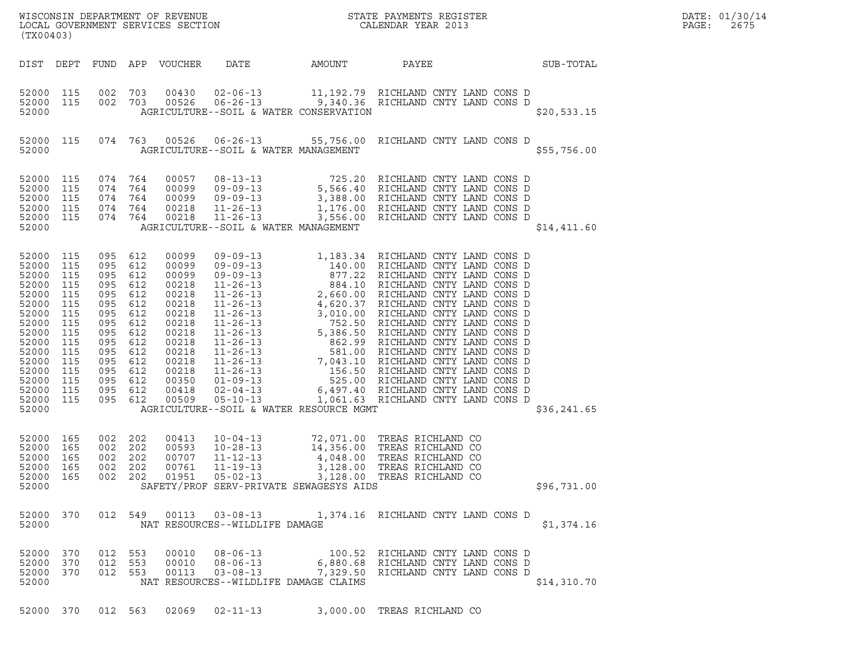| (TX00403)                                                                                                                                             |                                                                                                              |                                                                                                                                                                              | WISCONSIN DEPARTMENT OF REVENUE<br>LOCAL GOVERNMENT SERVICES SECTION                                                                         | STATE PAYMENTS REGISTER<br>CALENDAR YEAR 2013                                                                                                                                                                                                                                                     |                            |                             |  |             | DATE: 01/30/14<br>$\mathtt{PAGE}$ :<br>2675 |
|-------------------------------------------------------------------------------------------------------------------------------------------------------|--------------------------------------------------------------------------------------------------------------|------------------------------------------------------------------------------------------------------------------------------------------------------------------------------|----------------------------------------------------------------------------------------------------------------------------------------------|---------------------------------------------------------------------------------------------------------------------------------------------------------------------------------------------------------------------------------------------------------------------------------------------------|----------------------------|-----------------------------|--|-------------|---------------------------------------------|
|                                                                                                                                                       |                                                                                                              |                                                                                                                                                                              | DIST DEPT FUND APP VOUCHER                                                                                                                   | DATE                                                                                                                                                                                                                                                                                              | AMOUNT                     | <b>PAYEE</b>                |  | SUB-TOTAL   |                                             |
| 52000 115<br>52000 115<br>52000                                                                                                                       |                                                                                                              | 002 703<br>002 703                                                                                                                                                           | 00430                                                                                                                                        | $\begin{array}{cccc} 00430 & 02\texttt{-}06\texttt{-}13 & 11,192.79 & \texttt{RICHLAND CNTY} & \texttt{LAND CONS} & \texttt{D} \\ 00526 & 06\texttt{-}26\texttt{-}13 & 9,340.36 & \texttt{RICHLAND CNTY} & \texttt{LAND CONS} & \texttt{D} \end{array}$<br>AGRICULTURE--SOIL & WATER CONSERVATION |                            |                             |  | \$20,533.15 |                                             |
| 52000 115<br>52000                                                                                                                                    |                                                                                                              |                                                                                                                                                                              |                                                                                                                                              | 074 763 00526 06-26-13 55,756.00 RICHLAND CNTY LAND CONS D<br>AGRICULTURE--SOIL & WATER MANAGEMENT                                                                                                                                                                                                |                            |                             |  | \$55,756.00 |                                             |
| 52000<br>52000<br>52000<br>52000<br>52000<br>52000                                                                                                    | 115<br>115<br>115<br>115<br>115                                                                              | 074 764<br>074 764<br>074 764<br>074 764<br>074 764                                                                                                                          | 00057<br>00099<br>00099<br>00218<br>00218                                                                                                    | 08-13-13 725.20 RICHLAND CNTY LAND CONS D<br>09-09-13 5,566.40 RICHLAND CNTY LAND CONS D<br>09-09-13 3,388.00 RICHLAND CNTY LAND CONS D<br>11-26-13 1,176.00 RICHLAND CNTY LAND CONS D<br>11-26-13 3,556.00 RICHLAND CNTY LAND CONS D<br>AGRICULTURE--SOIL & WATER MANAGEMENT                     |                            |                             |  | \$14,411.60 |                                             |
| 52000<br>52000<br>52000<br>52000<br>52000<br>52000<br>52000<br>52000<br>52000<br>52000<br>52000<br>52000<br>52000<br>52000<br>52000<br>52000<br>52000 | 115<br>115<br>115<br>115<br>115<br>115<br>115<br>115<br>115<br>115<br>115<br>115<br>115<br>115<br>115<br>115 | 095 612<br>095 612<br>095 612<br>095 612<br>095 612<br>095 612<br>095 612<br>095 612<br>095 612<br>095 612<br>095 612<br>095 612<br>095 612<br>095 612<br>095 612<br>095 612 | 00099<br>00099<br>00099<br>00218<br>00218<br>00218<br>00218<br>00218<br>00218<br>00218<br>00218<br>00218<br>00218<br>00350<br>00418<br>00509 | AGRICULTURE--SOIL & WATER RESOURCE MGMT                                                                                                                                                                                                                                                           |                            |                             |  | \$36,241.65 |                                             |
| 52000 165<br>52000 165<br>52000 165                                                                                                                   |                                                                                                              | 002 202<br>002 202<br>002 202                                                                                                                                                | 00413<br>00593<br>00707                                                                                                                      | 10-04-13 72,071.00 TREAS RICHLAND CO<br>10-28-13 14 356.00 TREAS RICHLAND CO<br>$10 - 28 - 13$<br>$11 - 12 - 13$                                                                                                                                                                                  | 4.048.00 TREAS RICHLAND CO | 14,356.00 TREAS RICHLAND CO |  |             |                                             |

| 52000<br>52000<br>52000<br>52000<br>52000<br>52000 | 165<br>165<br>165<br>165<br>165 | 002<br>002<br>002<br>002 202<br>002 202 | 202<br>202<br>202 | 00413<br>00593<br>00707<br>00761<br>01951 | $10 - 04 - 13$<br>10-28-13<br>11-12-13<br>11-19-13<br>$05 - 02 - 13$ | SAFETY/PROF SERV-PRIVATE SEWAGESYS AIDS | 72,071.00 TREAS RICHLAND CO<br>14,356.00 TREAS RICHLAND CO<br>4,048.00 TREAS RICHLAND CO<br>3,128.00 TREAS RICHLAND CO<br>3,128.00 TREAS RICHLAND CO | \$96,731.00 |  |
|----------------------------------------------------|---------------------------------|-----------------------------------------|-------------------|-------------------------------------------|----------------------------------------------------------------------|-----------------------------------------|------------------------------------------------------------------------------------------------------------------------------------------------------|-------------|--|
| 52000 370<br>52000                                 |                                 | 012 549                                 |                   | 00113                                     | NAT RESOURCES--WILDLIFE DAMAGE                                       |                                         |                                                                                                                                                      | \$1,374.16  |  |

| 52000                            |                   |                   |                   |                         | NAT RESOURCES--WILDLIFE DAMAGE               |                                                 |                                                                                                       | \$1,374.16  |
|----------------------------------|-------------------|-------------------|-------------------|-------------------------|----------------------------------------------|-------------------------------------------------|-------------------------------------------------------------------------------------------------------|-------------|
| 52000<br>52000<br>52000<br>52000 | 370<br>370<br>370 | 012<br>012<br>012 | 553<br>553<br>553 | 00010<br>00010<br>00113 | $08 - 06 - 13$<br>08-06-13<br>$03 - 08 - 13$ | 100.52<br>NAT RESOURCES--WILDLIFE DAMAGE CLAIMS | RICHLAND CNTY LAND CONS D<br>6,880.68 RICHLAND CNTY LAND CONS D<br>7,329.50 RICHLAND CNTY LAND CONS D | \$14,310.70 |
| 52000                            | 370               | 012               | 563               | 02069                   | $02 - 11 - 13$                               | 3,000.00                                        | TREAS RICHLAND CO                                                                                     |             |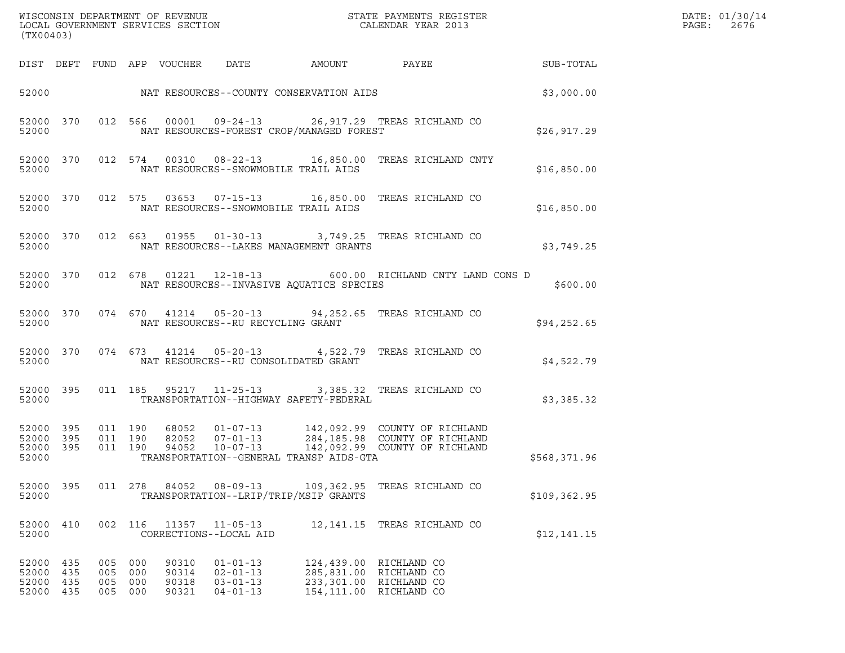| (TX00403)                                    |            |                                  |                    |                                  |                                                                      |        |                                                                                                                                        |               | DATE: 01/30/14<br>PAGE:<br>2676 |
|----------------------------------------------|------------|----------------------------------|--------------------|----------------------------------|----------------------------------------------------------------------|--------|----------------------------------------------------------------------------------------------------------------------------------------|---------------|---------------------------------|
|                                              |            |                                  |                    | DIST DEPT FUND APP VOUCHER       | DATE                                                                 | AMOUNT | PAYEE                                                                                                                                  | SUB-TOTAL     |                                 |
|                                              |            |                                  |                    |                                  |                                                                      |        |                                                                                                                                        | \$3,000.00    |                                 |
| 52000                                        |            |                                  |                    |                                  | NAT RESOURCES-FOREST CROP/MANAGED FOREST                             |        | 52000 370 012 566 00001 09-24-13 26,917.29 TREAS RICHLAND CO                                                                           | \$26, 917.29  |                                 |
| 52000 370<br>52000                           |            |                                  |                    |                                  | NAT RESOURCES--SNOWMOBILE TRAIL AIDS                                 |        | 012 574 00310 08-22-13 16,850.00 TREAS RICHLAND CNTY                                                                                   | \$16,850.00   |                                 |
| 52000 370<br>52000                           |            |                                  |                    |                                  | NAT RESOURCES--SNOWMOBILE TRAIL AIDS                                 |        | 012 575 03653 07-15-13 16,850.00 TREAS RICHLAND CO                                                                                     | \$16,850.00   |                                 |
| 52000 370<br>52000                           |            |                                  |                    |                                  | NAT RESOURCES--LAKES MANAGEMENT GRANTS                               |        | 012 663 01955 01-30-13 3,749.25 TREAS RICHLAND CO                                                                                      | \$3,749.25    |                                 |
| 52000 370<br>52000                           |            |                                  |                    |                                  | NAT RESOURCES--INVASIVE AQUATICE SPECIES                             |        | 012 678 01221 12-18-13 600.00 RICHLAND CNTY LAND CONS D                                                                                | \$600.00      |                                 |
| 52000 370<br>52000                           |            |                                  |                    |                                  | NAT RESOURCES--RU RECYCLING GRANT                                    |        | 074 670 41214 05-20-13 94,252.65 TREAS RICHLAND CO                                                                                     | \$94, 252.65  |                                 |
| 52000 370<br>52000                           |            |                                  |                    |                                  | NAT RESOURCES--RU CONSOLIDATED GRANT                                 |        | 074 673 41214 05-20-13 4,522.79 TREAS RICHLAND CO                                                                                      | \$4,522.79    |                                 |
| 52000 395<br>52000                           |            |                                  |                    |                                  | TRANSPORTATION--HIGHWAY SAFETY-FEDERAL                               |        | 011 185 95217 11-25-13 3,385.32 TREAS RICHLAND CO                                                                                      | \$3,385.32    |                                 |
| 52000 395<br>52000 395<br>52000 395<br>52000 |            | 011 190                          | 011 190<br>011 190 |                                  | TRANSPORTATION--GENERAL TRANSP AIDS-GTA                              |        | 68052 01-07-13 142,092.99 COUNTYOFRICHLAND<br>82052 07-01-13 284,185.98 COUNTYOFRICHLAND<br>94052 10-07-13 142,092.99 COUNTYOFRICHLAND | \$568,371.96  |                                 |
| 52000 395<br>52000                           |            | 011 278                          |                    | 84052                            | 08-09-13<br>TRANSPORTATION--LRIP/TRIP/MSIP GRANTS                    |        | 109,362.95 TREAS RICHLAND CO                                                                                                           | \$109, 362.95 |                                 |
| 52000 410<br>52000                           |            | 002 116                          |                    | 11357                            | $11 - 05 - 13$<br>CORRECTIONS--LOCAL AID                             |        | 12,141.15 TREAS RICHLAND CO                                                                                                            | \$12,141.15   |                                 |
| 52000 435<br>52000<br>52000<br>52000 435     | 435<br>435 | 005<br>005 000<br>005<br>005 000 | 000<br>000         | 90310<br>90314<br>90318<br>90321 | $01 - 01 - 13$<br>$02 - 01 - 13$<br>$03 - 01 - 13$<br>$04 - 01 - 13$ |        | 124,439.00 RICHLAND CO<br>285,831.00 RICHLAND CO<br>233,301.00 RICHLAND CO<br>154,111.00 RICHLAND CO                                   |               |                                 |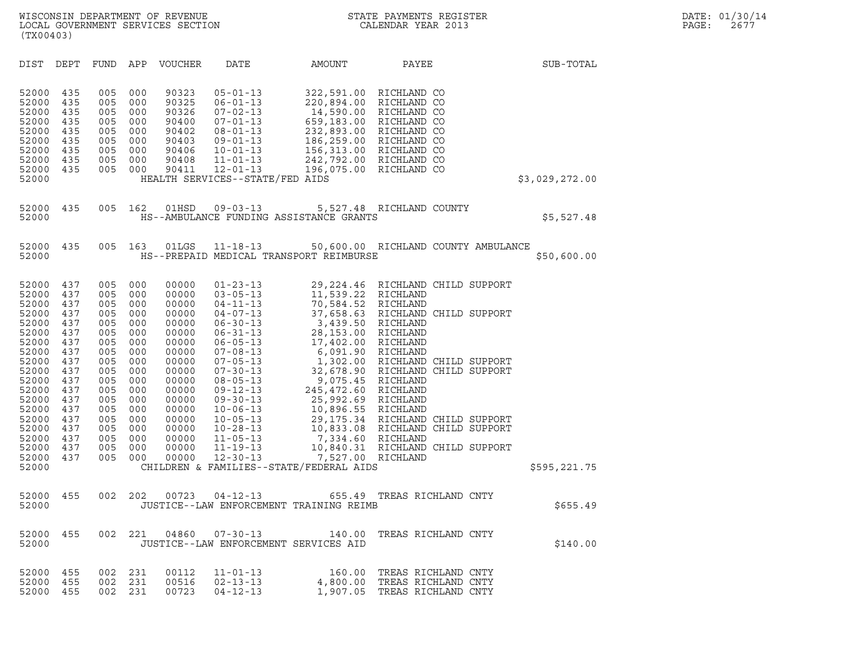| (TX00403)                                                                                                                                                                        |                                                                                                                                   |                                                                                                                                   |                                                                                                                                   |                                                                                                                                                                         |                                                                                                                                                                                                                                                                                                                                                    |                                                                                                                                                                                                                                                                                                    |                                                                                                                                                                                                                                                                      |                |
|----------------------------------------------------------------------------------------------------------------------------------------------------------------------------------|-----------------------------------------------------------------------------------------------------------------------------------|-----------------------------------------------------------------------------------------------------------------------------------|-----------------------------------------------------------------------------------------------------------------------------------|-------------------------------------------------------------------------------------------------------------------------------------------------------------------------|----------------------------------------------------------------------------------------------------------------------------------------------------------------------------------------------------------------------------------------------------------------------------------------------------------------------------------------------------|----------------------------------------------------------------------------------------------------------------------------------------------------------------------------------------------------------------------------------------------------------------------------------------------------|----------------------------------------------------------------------------------------------------------------------------------------------------------------------------------------------------------------------------------------------------------------------|----------------|
| DIST                                                                                                                                                                             | DEPT                                                                                                                              | <b>FUND</b>                                                                                                                       | APP                                                                                                                               | VOUCHER                                                                                                                                                                 | DATE                                                                                                                                                                                                                                                                                                                                               | AMOUNT                                                                                                                                                                                                                                                                                             | PAYEE                                                                                                                                                                                                                                                                | SUB-TOTAL      |
| 52000<br>52000<br>52000<br>52000<br>52000<br>52000<br>52000<br>52000<br>52000<br>52000                                                                                           | 435<br>435<br>435<br>435<br>435<br>435<br>435<br>435<br>435                                                                       | 005<br>005<br>005<br>005<br>005<br>005<br>005<br>005<br>005                                                                       | 000<br>000<br>000<br>000<br>000<br>000<br>000<br>000<br>000                                                                       | 90323<br>90325<br>90326<br>90400<br>90402<br>90403<br>90406<br>90408<br>90411                                                                                           | $05 - 01 - 13$<br>$06 - 01 - 13$<br>$07 - 02 - 13$<br>$07 - 01 - 13$<br>$08 - 01 - 13$<br>$09 - 01 - 13$<br>$10 - 01 - 13$<br>$11 - 01 - 13$<br>$12 - 01 - 13$<br>HEALTH SERVICES--STATE/FED AIDS                                                                                                                                                  |                                                                                                                                                                                                                                                                                                    | 322,591.00 RICHLAND CO<br>220,894.00 RICHLAND CO<br>14,590.00 RICHLAND CO<br>659,183.00 RICHLAND CO<br>232,893.00 RICHLAND CO<br>186,259.00 RICHLAND CO<br>156,313.00 RICHLAND CO<br>242,792.00 RICHLAND CO<br>196,075.00 RICHLAND CO                                | \$3,029,272.00 |
| 52000<br>52000                                                                                                                                                                   | 435                                                                                                                               | 005                                                                                                                               | 162                                                                                                                               | 01HSD                                                                                                                                                                   | $09 - 03 - 13$                                                                                                                                                                                                                                                                                                                                     | HS--AMBULANCE FUNDING ASSISTANCE GRANTS                                                                                                                                                                                                                                                            | 5,527.48 RICHLAND COUNTY                                                                                                                                                                                                                                             | \$5,527.48     |
| 52000<br>52000                                                                                                                                                                   | 435                                                                                                                               | 005                                                                                                                               | 163                                                                                                                               | 01LGS                                                                                                                                                                   | $11 - 18 - 13$                                                                                                                                                                                                                                                                                                                                     | HS--PREPAID MEDICAL TRANSPORT REIMBURSE                                                                                                                                                                                                                                                            | 50,600.00 RICHLAND COUNTY AMBULANCE                                                                                                                                                                                                                                  | \$50,600.00    |
| 52000<br>52000<br>52000<br>52000<br>52000<br>52000<br>52000<br>52000<br>52000<br>52000<br>52000<br>52000<br>52000<br>52000<br>52000<br>52000<br>52000<br>52000<br>52000<br>52000 | 437<br>437<br>437<br>437<br>437<br>437<br>437<br>437<br>437<br>437<br>437<br>437<br>437<br>437<br>437<br>437<br>437<br>437<br>437 | 005<br>005<br>005<br>005<br>005<br>005<br>005<br>005<br>005<br>005<br>005<br>005<br>005<br>005<br>005<br>005<br>005<br>005<br>005 | 000<br>000<br>000<br>000<br>000<br>000<br>000<br>000<br>000<br>000<br>000<br>000<br>000<br>000<br>000<br>000<br>000<br>000<br>000 | 00000<br>00000<br>00000<br>00000<br>00000<br>00000<br>00000<br>00000<br>00000<br>00000<br>00000<br>00000<br>00000<br>00000<br>00000<br>00000<br>00000<br>00000<br>00000 | $01 - 23 - 13$<br>$03 - 05 - 13$<br>$04 - 11 - 13$<br>$04 - 07 - 13$<br>$06 - 30 - 13$<br>$06 - 31 - 13$<br>$06 - 05 - 13$<br>$07 - 08 - 13$<br>$07 - 05 - 13$<br>$07 - 30 - 13$<br>$08 - 05 - 13$<br>$09 - 12 - 13$<br>$09 - 30 - 13$<br>$10 - 06 - 13$<br>$10 - 05 - 13$<br>$10 - 28 - 13$<br>$11 - 05 - 13$<br>$11 - 19 - 13$<br>$12 - 30 - 13$ | 11,539.22 RICHLAND<br>70,584.52 RICHLAND<br>3,439.50 RICHLAND<br>28,153.00 RICHLAND<br>17,402.00<br>6,091.90 RICHLAND<br>9,075.45 RICHLAND<br>245,472.60 RICHLAND<br>25,992.69 RICHLAND<br>10,896.55 RICHLAND<br>7,334.60 RICHLAND<br>7,527.00 RICHLAND<br>CHILDREN & FAMILIES--STATE/FEDERAL AIDS | 29, 224.46 RICHLAND CHILD SUPPORT<br>37,658.63 RICHLAND CHILD SUPPORT<br>RICHLAND<br>1,302.00 RICHLAND CHILD SUPPORT<br>32,678.90 RICHLAND CHILD SUPPORT<br>29,175.34 RICHLAND CHILD SUPPORT<br>10,833.08 RICHLAND CHILD SUPPORT<br>10,840.31 RICHLAND CHILD SUPPORT | \$595,221.75   |
| 52000<br>52000                                                                                                                                                                   | 455                                                                                                                               | 002                                                                                                                               | 202                                                                                                                               | 00723                                                                                                                                                                   | $04 - 12 - 13$                                                                                                                                                                                                                                                                                                                                     | 655.49<br>JUSTICE--LAW ENFORCEMENT TRAINING REIMB                                                                                                                                                                                                                                                  | TREAS RICHLAND CNTY                                                                                                                                                                                                                                                  | \$655.49       |
| 52000 455<br>52000                                                                                                                                                               |                                                                                                                                   | 002                                                                                                                               | 221                                                                                                                               | 04860                                                                                                                                                                   | 07-30-13<br>JUSTICE--LAW ENFORCEMENT SERVICES AID                                                                                                                                                                                                                                                                                                  | 140.00                                                                                                                                                                                                                                                                                             | TREAS RICHLAND CNTY                                                                                                                                                                                                                                                  | \$140.00       |
| 52000<br>52000<br>52000                                                                                                                                                          | 455<br>455<br>455                                                                                                                 | 002<br>002<br>002                                                                                                                 | 231<br>231<br>231                                                                                                                 | 00112<br>00516<br>00723                                                                                                                                                 | $11 - 01 - 13$<br>$02 - 13 - 13$<br>$04 - 12 - 13$                                                                                                                                                                                                                                                                                                 | 160.00<br>4,800.00<br>1,907.05                                                                                                                                                                                                                                                                     | TREAS RICHLAND CNTY<br>TREAS RICHLAND CNTY<br>TREAS RICHLAND CNTY                                                                                                                                                                                                    |                |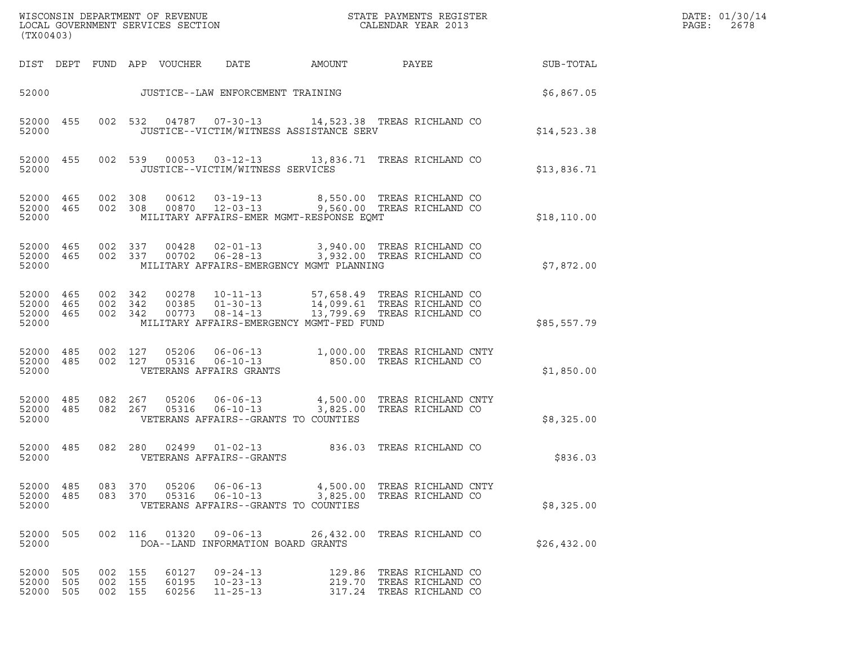| (TX00403)                                    |                   |                               |         |                            |                                                             |        |                                                                                                                                     |              | DATE: 01/30/14<br>$\mathtt{PAGE}$ :<br>2678 |
|----------------------------------------------|-------------------|-------------------------------|---------|----------------------------|-------------------------------------------------------------|--------|-------------------------------------------------------------------------------------------------------------------------------------|--------------|---------------------------------------------|
|                                              |                   |                               |         | DIST DEPT FUND APP VOUCHER | DATE                                                        | AMOUNT | PAYEE                                                                                                                               | SUB-TOTAL    |                                             |
|                                              |                   |                               |         |                            | JUSTICE--LAW ENFORCEMENT TRAINING                           |        |                                                                                                                                     | \$6,867.05   |                                             |
| 52000                                        | 52000 455         |                               |         |                            | JUSTICE--VICTIM/WITNESS ASSISTANCE SERV                     |        | 002 532 04787 07-30-13 14,523.38 TREAS RICHLAND CO                                                                                  | \$14,523.38  |                                             |
| 52000 455<br>52000                           |                   |                               |         |                            | JUSTICE--VICTIM/WITNESS SERVICES                            |        | 002 539 00053 03-12-13 13,836.71 TREAS RICHLAND CO                                                                                  | \$13,836.71  |                                             |
| 52000 465<br>52000                           | 52000 465         | 002 308                       |         | 00612                      | MILITARY AFFAIRS-EMER MGMT-RESPONSE EQMT                    |        | 03-19-13 8,550.00 TREAS RICHLAND CO<br>002 308 00870 12-03-13 9,560.00 TREAS RICHLAND CO                                            | \$18, 110.00 |                                             |
| 52000                                        | 52000 465         | 52000 465 002 337<br>002 337  |         |                            | 00428  02-01-13<br>MILITARY AFFAIRS-EMERGENCY MGMT PLANNING |        | 3,940.00 TREAS RICHLAND CO<br>00702  06-28-13  3,932.00 TREAS RICHLAND CO                                                           | \$7,872.00   |                                             |
| 52000 465<br>52000 465<br>52000 465<br>52000 |                   | 002 342<br>002 342<br>002 342 |         | 00773                      | $08 - 14 - 13$<br>MILITARY AFFAIRS-EMERGENCY MGMT-FED FUND  |        | 00278   10-11-13   57,658.49   TREAS RICHLAND CO<br>00385   01-30-13   14,099.61   TREAS RICHLAND CO<br>13,799.69 TREAS RICHLAND CO | \$85,557.79  |                                             |
| 52000 485<br>52000 485<br>52000              |                   | 002 127                       | 002 127 |                            | VETERANS AFFAIRS GRANTS                                     |        |                                                                                                                                     | \$1,850.00   |                                             |
| 52000                                        | 52000 485         | 52000 485 082 267             | 082 267 |                            | VETERANS AFFAIRS--GRANTS TO COUNTIES                        |        |                                                                                                                                     | \$8,325.00   |                                             |
| 52000 485<br>52000                           |                   |                               | 082 280 |                            | VETERANS AFFAIRS--GRANTS                                    |        |                                                                                                                                     | \$836.03     |                                             |
| 52000 485<br>52000 485<br>52000              |                   | 083 370<br>083 370            |         | 05206<br>05316             | VETERANS AFFAIRS--GRANTS TO COUNTIES                        |        | 06-06-13 4,500.00 TREAS RICHLAND CNTY<br>06-10-13 3,825.00 TREAS RICHLAND CO                                                        | \$8,325.00   |                                             |
| 52000<br>52000                               | 505               |                               |         | 002 116 01320              | DOA--LAND INFORMATION BOARD GRANTS                          |        |                                                                                                                                     | \$26,432.00  |                                             |
| 52000<br>52000<br>52000                      | 505<br>505<br>505 | 002 155<br>002 155<br>002 155 |         | 60127<br>60195<br>60256    | $09 - 24 - 13$<br>$10 - 23 - 13$<br>$11 - 25 - 13$          |        | 129.86 TREAS RICHLAND CO<br>219.70 TREAS RICHLAND CO<br>317.24 TREAS RICHLAND CO                                                    |              |                                             |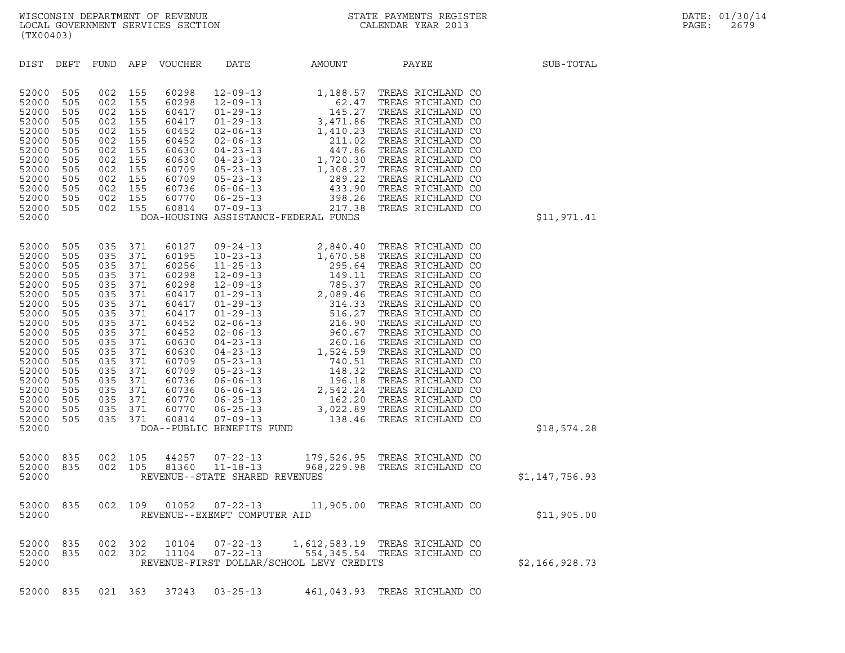| (TX00403)                                                                                                                                                                        |                                                                                                                                   |                                                                                                                                   |                                                                                                                                   |                                                                                                                                                                         |                                                                                                                                                                                                                                                                                                                                                                                 |                                                                                                                                                                                                                                                                                                                                                                                                                                  |                                                                                                                                                                                                                                                                               |                |
|----------------------------------------------------------------------------------------------------------------------------------------------------------------------------------|-----------------------------------------------------------------------------------------------------------------------------------|-----------------------------------------------------------------------------------------------------------------------------------|-----------------------------------------------------------------------------------------------------------------------------------|-------------------------------------------------------------------------------------------------------------------------------------------------------------------------|---------------------------------------------------------------------------------------------------------------------------------------------------------------------------------------------------------------------------------------------------------------------------------------------------------------------------------------------------------------------------------|----------------------------------------------------------------------------------------------------------------------------------------------------------------------------------------------------------------------------------------------------------------------------------------------------------------------------------------------------------------------------------------------------------------------------------|-------------------------------------------------------------------------------------------------------------------------------------------------------------------------------------------------------------------------------------------------------------------------------|----------------|
| DIST                                                                                                                                                                             | DEPT                                                                                                                              | FUND                                                                                                                              | APP                                                                                                                               | <b>VOUCHER</b>                                                                                                                                                          | DATE                                                                                                                                                                                                                                                                                                                                                                            | AMOUNT                                                                                                                                                                                                                                                                                                                                                                                                                           | PAYEE                                                                                                                                                                                                                                                                         | SUB-TOTAL      |
| 52000<br>52000<br>52000<br>52000<br>52000<br>52000<br>52000<br>52000<br>52000<br>52000<br>52000<br>52000<br>52000<br>52000                                                       | 505<br>505<br>505<br>505<br>505<br>505<br>505<br>505<br>505<br>505<br>505<br>505<br>505                                           | 002<br>002<br>002<br>002<br>002<br>002<br>002<br>002<br>002<br>002<br>002<br>002<br>002                                           | 155<br>155<br>155<br>155<br>155<br>155<br>155<br>155<br>155<br>155<br>155<br>155<br>155                                           | 60298<br>60298<br>60417<br>60417<br>60452<br>60452<br>60630<br>60630<br>60709<br>60709<br>60736<br>60770<br>60814                                                       | $12 - 09 - 13$<br>$12 - 09 - 13$<br>$01 - 29 - 13$<br>$01 - 29 - 13$<br>$02 - 06 - 13$<br>$02 - 06 - 13$<br>$04 - 23 - 13$<br>$04 - 23 - 13$<br>$05 - 23 - 13$<br>$05 - 23 - 13$<br>$06 - 06 - 13$<br>$06 - 25 - 13$<br>$07 - 09 - 13$                                                                                                                                          | 1,188.57<br>1,<br>$\frac{3}{1}$ ,<br>$\frac{1}{1}$ ,<br>$\frac{1}{1}$ ,<br>$\frac{1}{1}$ ,<br>62.47<br>145.27<br>3,471.86<br>1,410.23<br>211.02<br>447.86<br>1,720.30<br>1,308.27<br>289.22<br>433.90<br>398.26<br>217.38<br>DOA-HOUSING ASSISTANCE-FEDERAL FUNDS                                                                                                                                                                | TREAS RICHLAND CO<br>TREAS RICHLAND CO<br>TREAS RICHLAND CO<br>TREAS RICHLAND CO<br>TREAS RICHLAND CO<br>TREAS RICHLAND CO<br>TREAS RICHLAND CO<br>TREAS RICHLAND CO<br>TREAS RICHLAND CO<br>TREAS RICHLAND CO<br>TREAS RICHLAND CO<br>TREAS RICHLAND CO<br>TREAS RICHLAND CO | \$11,971.41    |
| 52000<br>52000<br>52000<br>52000<br>52000<br>52000<br>52000<br>52000<br>52000<br>52000<br>52000<br>52000<br>52000<br>52000<br>52000<br>52000<br>52000<br>52000<br>52000<br>52000 | 505<br>505<br>505<br>505<br>505<br>505<br>505<br>505<br>505<br>505<br>505<br>505<br>505<br>505<br>505<br>505<br>505<br>505<br>505 | 035<br>035<br>035<br>035<br>035<br>035<br>035<br>035<br>035<br>035<br>035<br>035<br>035<br>035<br>035<br>035<br>035<br>035<br>035 | 371<br>371<br>371<br>371<br>371<br>371<br>371<br>371<br>371<br>371<br>371<br>371<br>371<br>371<br>371<br>371<br>371<br>371<br>371 | 60127<br>60195<br>60256<br>60298<br>60298<br>60417<br>60417<br>60417<br>60452<br>60452<br>60630<br>60630<br>60709<br>60709<br>60736<br>60736<br>60770<br>60770<br>60814 | $09 - 24 - 13$<br>$10 - 23 - 13$<br>$11 - 25 - 13$<br>$12 - 09 - 13$<br>$12 - 09 - 13$<br>$01 - 29 - 13$<br>$01 - 29 - 13$<br>$01 - 29 - 13$<br>$02 - 06 - 13$<br>$02 - 06 - 13$<br>$04 - 23 - 13$<br>$04 - 23 - 13$<br>$05 - 23 - 13$<br>$05 - 23 - 13$<br>$06 - 06 - 13$<br>$06 - 06 - 13$<br>$06 - 25 - 13$<br>$06 - 25 - 13$<br>$07 - 09 - 13$<br>DOA--PUBLIC BENEFITS FUND | 2,840.40<br>$\begin{tabular}{c} 2, 840.40 & TREAS RICHLAND CO \\ 1, 670.58 & TREAS RICHLAND CO \\ 295.64 & TREAS RICHLAND CO \\ 149.11 & TREAS RICHLAND CO \\ 785.37 & TREAS RICHLAND CO \\ 314.33 & TREAS RICHLAND CO \\ 516.27 & TREAS RICHLAND CO \\ 216.90 & TREAS RICHLAND CO \\ 260.67 & TREAS RICHLAND CO \\ 260.16 & TREAS RICHLAND CO \\ 260.16 & TREAS RICHLAND CO \\ 1, 524.59 & TREAS RICHLAND CO \\ 148.32 & TREAS$ | TREAS RICHLAND CO                                                                                                                                                                                                                                                             | \$18,574.28    |
|                                                                                                                                                                                  |                                                                                                                                   |                                                                                                                                   |                                                                                                                                   |                                                                                                                                                                         |                                                                                                                                                                                                                                                                                                                                                                                 |                                                                                                                                                                                                                                                                                                                                                                                                                                  |                                                                                                                                                                                                                                                                               |                |
| 52000<br>52000<br>52000                                                                                                                                                          | 835<br>835                                                                                                                        | 002<br>002                                                                                                                        | 105<br>105                                                                                                                        | 44257<br>81360                                                                                                                                                          | $07 - 22 - 13$<br>$11 - 18 - 13$<br>REVENUE--STATE SHARED REVENUES                                                                                                                                                                                                                                                                                                              |                                                                                                                                                                                                                                                                                                                                                                                                                                  | 179,526.95 TREAS RICHLAND CO<br>968,229.98 TREAS RICHLAND CO                                                                                                                                                                                                                  | \$1,147,756.93 |
| 52000<br>52000                                                                                                                                                                   | 835                                                                                                                               | 002                                                                                                                               | 109                                                                                                                               | 01052                                                                                                                                                                   | $07 - 22 - 13$<br>REVENUE--EXEMPT COMPUTER AID                                                                                                                                                                                                                                                                                                                                  | 11,905.00                                                                                                                                                                                                                                                                                                                                                                                                                        | TREAS RICHLAND CO                                                                                                                                                                                                                                                             | \$11,905.00    |
| 52000<br>52000<br>52000                                                                                                                                                          | 835<br>835                                                                                                                        | 002<br>002                                                                                                                        | 302<br>302                                                                                                                        | 10104<br>11104                                                                                                                                                          | $07 - 22 - 13$<br>$07 - 22 - 13$                                                                                                                                                                                                                                                                                                                                                | REVENUE-FIRST DOLLAR/SCHOOL LEVY CREDITS                                                                                                                                                                                                                                                                                                                                                                                         | 1,612,583.19 TREAS RICHLAND CO<br>554,345.54 TREAS RICHLAND CO                                                                                                                                                                                                                | \$2,166,928.73 |
| 52000 835                                                                                                                                                                        |                                                                                                                                   |                                                                                                                                   | 021 363                                                                                                                           | 37243                                                                                                                                                                   | $03 - 25 - 13$                                                                                                                                                                                                                                                                                                                                                                  |                                                                                                                                                                                                                                                                                                                                                                                                                                  | 461,043.93 TREAS RICHLAND CO                                                                                                                                                                                                                                                  |                |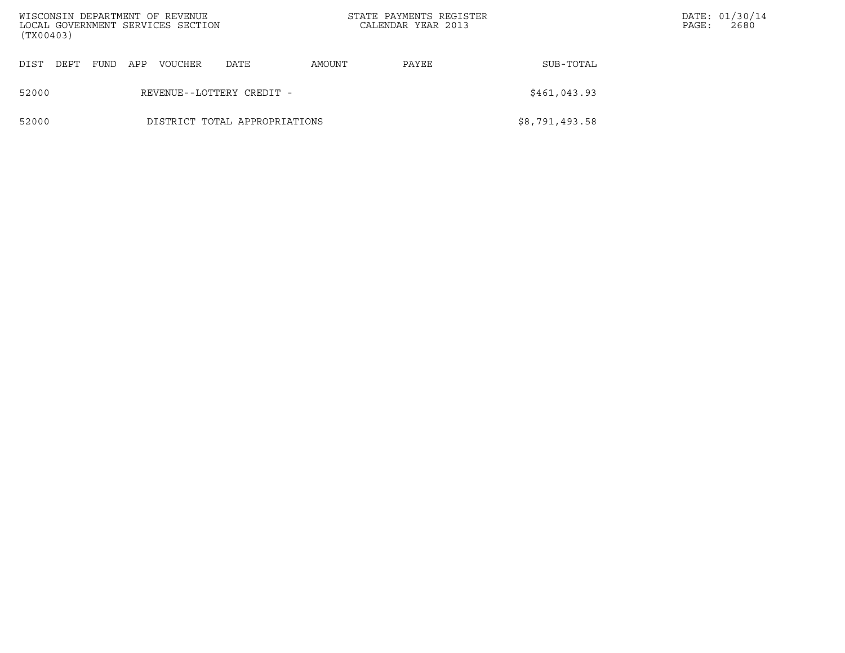| (TX00403) |                               |      |     | WISCONSIN DEPARTMENT OF REVENUE<br>LOCAL GOVERNMENT SERVICES SECTION |      |        | STATE PAYMENTS REGISTER<br>CALENDAR YEAR 2013 |                | PAGE: | DATE: 01/30/14<br>2680 |
|-----------|-------------------------------|------|-----|----------------------------------------------------------------------|------|--------|-----------------------------------------------|----------------|-------|------------------------|
| DIST      | DEPT                          | FUND | APP | <b>VOUCHER</b>                                                       | DATE | AMOUNT | PAYEE                                         | SUB-TOTAL      |       |                        |
| 52000     | REVENUE--LOTTERY CREDIT -     |      |     |                                                                      |      |        |                                               | \$461,043.93   |       |                        |
| 52000     | DISTRICT TOTAL APPROPRIATIONS |      |     |                                                                      |      |        |                                               | \$8,791,493.58 |       |                        |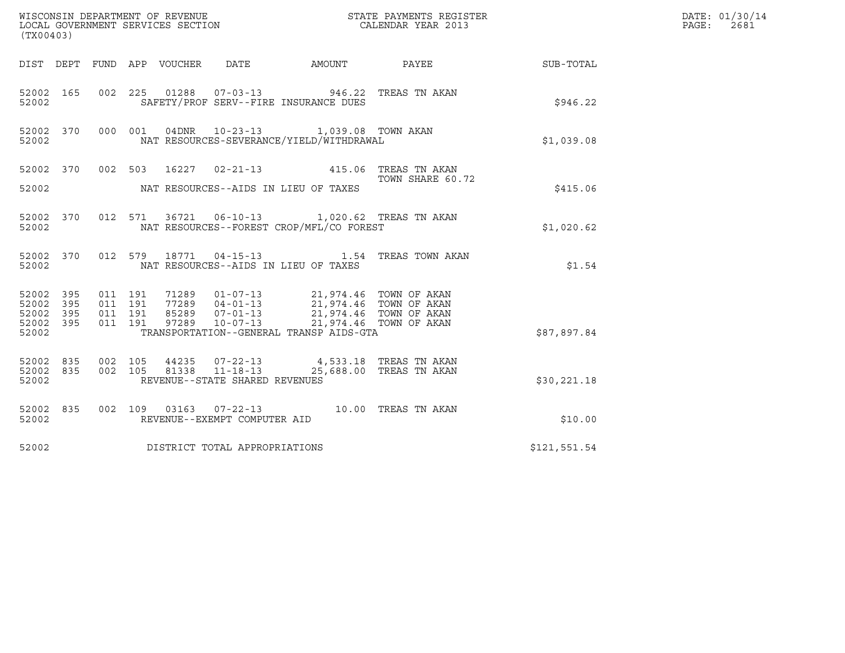| (TX00403)                                                                                                                                                                                                                                                                                                                              | DATE: 01/30/14<br>PAGE:<br>2681 |
|----------------------------------------------------------------------------------------------------------------------------------------------------------------------------------------------------------------------------------------------------------------------------------------------------------------------------------------|---------------------------------|
| DIST DEPT FUND APP VOUCHER DATE                                                                                                                                                                                                                                                                                                        |                                 |
| 002 225 01288 07-03-13 946.22 TREAS TN AKAN<br>52002 165<br>SAFETY/PROF SERV--FIRE INSURANCE DUES<br>52002                                                                                                                                                                                                                             | \$946.22                        |
| 04DNR  10-23-13  1,039.08  TOWN AKAN<br>52002 370<br>000 001<br>NAT RESOURCES-SEVERANCE/YIELD/WITHDRAWAL<br>52002                                                                                                                                                                                                                      | \$1,039.08                      |
| 52002 370 002 503 16227 02-21-13 415.06 TREAS TN AKAN                                                                                                                                                                                                                                                                                  | TOWN SHARE 60.72                |
| 52002<br>NAT RESOURCES--AIDS IN LIEU OF TAXES                                                                                                                                                                                                                                                                                          | \$415.06                        |
| 012 571 36721 06-10-13 1,020.62 TREAS TN AKAN<br>52002 370<br>NAT RESOURCES--FOREST CROP/MFL/CO FOREST<br>52002                                                                                                                                                                                                                        | \$1,020.62                      |
| 012 579 18771 04-15-13 1.54 TREAS TOWN AKAN<br>52002 370<br>NAT RESOURCES--AIDS IN LIEU OF TAXES<br>52002                                                                                                                                                                                                                              | \$1.54                          |
| 71289  01-07-13  21,974.46  TOWN OF AKAN<br>77289  04-01-13  21,974.46  TOWN OF AKAN<br>85289  07-01-13  21,974.46  TOWN OF AKAN<br>97289  10-07-13  21,974.46  TOWN OF AKAN<br>52002 395<br>011 191<br>011 191<br>52002<br>395<br>011 191<br>395<br>52002<br>011 191<br>52002 395<br>TRANSPORTATION--GENERAL TRANSP AIDS-GTA<br>52002 | \$87,897.84                     |
| 52002 835<br>002 105 44235 07-22-13 4,533.18 TREAS TN AKAN 002 105 81338 11-18-13 25,688.00 TREAS TN AKAN<br>52002 835<br>REVENUE--STATE SHARED REVENUES<br>52002                                                                                                                                                                      | \$30,221.18                     |
| 002 109 03163 07-22-13 10.00 TREAS TN AKAN<br>52002 835<br>52002<br>REVENUE--EXEMPT COMPUTER AID                                                                                                                                                                                                                                       | \$10.00                         |
| DISTRICT TOTAL APPROPRIATIONS<br>52002                                                                                                                                                                                                                                                                                                 | \$121,551.54                    |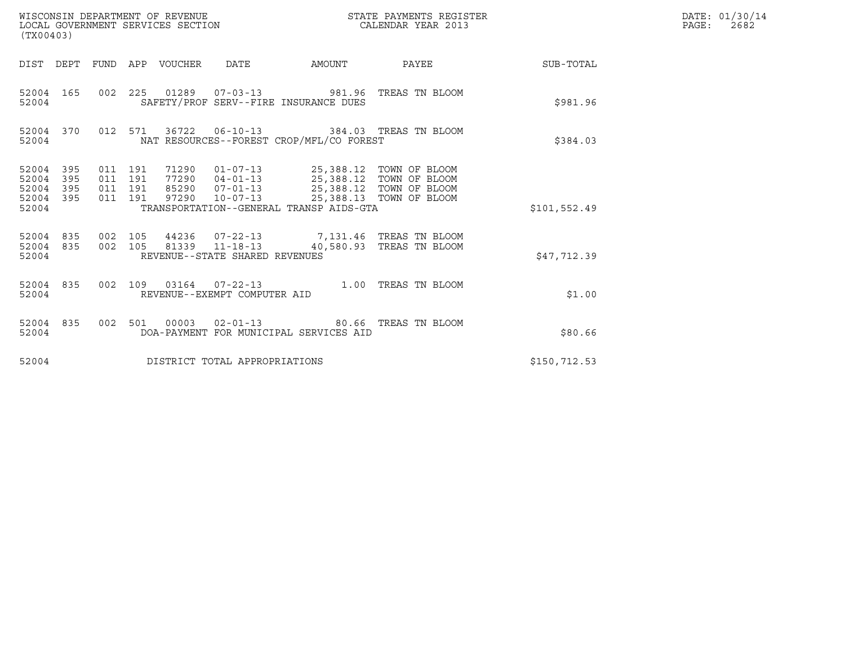| WISCONSIN DEPARTMENT OF REVENUE<br>(TX00403)                                  | LOCAL GOVERNMENT SERVICES SECTION                                                                                                                                                                                  | STATE PAYMENTS REGISTER<br>CALENDAR YEAR 2013      |               | DATE: 01/30/14<br>$\mathtt{PAGE:}$<br>2682 |
|-------------------------------------------------------------------------------|--------------------------------------------------------------------------------------------------------------------------------------------------------------------------------------------------------------------|----------------------------------------------------|---------------|--------------------------------------------|
|                                                                               | DIST DEPT FUND APP VOUCHER DATE<br>AMOUNT                                                                                                                                                                          | PAYEE                                              | SUB-TOTAL     |                                            |
| 52004 165<br>52004                                                            | 002  225  01289  07-03-13  981.96  TREAS TN BLOOM<br>SAFETY/PROF SERV--FIRE INSURANCE DUES                                                                                                                         |                                                    | \$981.96      |                                            |
| 52004 370<br>52004                                                            | 012 571 36722 06-10-13 384.03 TREAS TN BLOOM<br>NAT RESOURCES--FOREST CROP/MFL/CO FOREST                                                                                                                           |                                                    | \$384.03      |                                            |
| 52004 395<br>52004<br>395<br>011<br>52004<br>395<br>011<br>52004 395<br>52004 | 71290  01-07-13  25,388.12  TOWN OF BLOOM<br>011 191<br>191<br>04-01-13 25,388.12 TOWN OF BLOOM<br>77290<br>191<br>85290 07-01-13<br>011 191<br>97290<br>$10 - 07 - 13$<br>TRANSPORTATION--GENERAL TRANSP AIDS-GTA | 25,388.12 TOWN OF BLOOM<br>25,388.13 TOWN OF BLOOM | \$101,552.49  |                                            |
| 52004 835<br>52004 835<br>52004                                               | 44236 07-22-13 7,131.46 TREAS TN BLOOM<br>002 105<br>002 105<br>81339   11-18-13   40,580.93   TREAS TN BLOOM<br>REVENUE--STATE SHARED REVENUES                                                                    |                                                    | \$47,712.39   |                                            |
| 52004 835<br>52004                                                            | 002 109 03164 07-22-13 1.00 TREAS TN BLOOM<br>REVENUE--EXEMPT COMPUTER AID                                                                                                                                         |                                                    | \$1.00        |                                            |
| 52004 835<br>52004                                                            | 002 501 00003<br>$02 - 01 - 13$<br>DOA-PAYMENT FOR MUNICIPAL SERVICES AID                                                                                                                                          | 80.66 TREAS TN BLOOM                               | \$80.66       |                                            |
| 52004                                                                         | DISTRICT TOTAL APPROPRIATIONS                                                                                                                                                                                      |                                                    | \$150, 712.53 |                                            |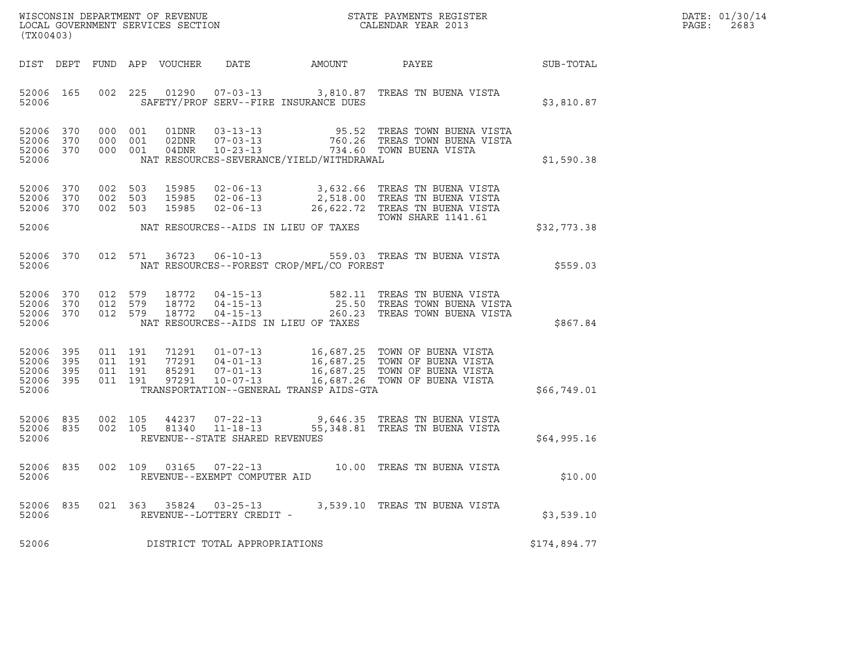| DATE: | 01/30/14 |
|-------|----------|
| PAGE: | 2683     |

| (TX00403)                                                 |           |         |                                          |                |                                                                    |                                          | ${\tt WISCONSIM\ DEPARTMENT\ OF\ REVENUE}\qquad \qquad {\tt STATE\ PAYMENTS\ REGISTER} \\ {\tt LOCAL\ GOVERNMENT\ SERVICES\ SECTION}\qquad \qquad {\tt CALENDAR\ YEAR\ 2013}$ |                  | DATE: 01/30/14<br>PAGE:<br>2683 |
|-----------------------------------------------------------|-----------|---------|------------------------------------------|----------------|--------------------------------------------------------------------|------------------------------------------|-------------------------------------------------------------------------------------------------------------------------------------------------------------------------------|------------------|---------------------------------|
|                                                           |           |         | DIST DEPT FUND APP VOUCHER               |                | DATE                                                               | AMOUNT                                   | PAYEE                                                                                                                                                                         | <b>SUB-TOTAL</b> |                                 |
| 52006                                                     | 52006 165 |         |                                          |                |                                                                    | SAFETY/PROF SERV--FIRE INSURANCE DUES    | 002 225 01290 07-03-13 3,810.87 TREAS TN BUENA VISTA                                                                                                                          | \$3,810.87       |                                 |
| 52006 370<br>52006 370<br>52006 370<br>52006              |           |         | 000 001<br>000 001<br>000 001            |                |                                                                    | NAT RESOURCES-SEVERANCE/YIELD/WITHDRAWAL |                                                                                                                                                                               | \$1,590.38       |                                 |
| 52006 370<br>52006 370<br>52006 370                       |           |         | 002 503<br>002 503<br>002 503            | 15985<br>15985 | $02 - 06 - 13$                                                     |                                          | 15985 02-06-13 3,632.66 TREAS TN BUENA VISTA<br>02-06-13  2,518.00 TREAS TN BUENA VISTA<br>26,622.72 TREAS TN BUENA VISTA<br>TOWN SHARE 1141.61                               |                  |                                 |
| 52006                                                     |           |         |                                          |                |                                                                    | NAT RESOURCES--AIDS IN LIEU OF TAXES     |                                                                                                                                                                               | \$32,773.38      |                                 |
| 52006 370<br>52006                                        |           |         |                                          |                |                                                                    | NAT RESOURCES--FOREST CROP/MFL/CO FOREST | 012 571 36723 06-10-13 559.03 TREAS TN BUENA VISTA                                                                                                                            | \$5559.03        |                                 |
| 52006 370<br>52006 370<br>52006 370<br>52006              |           | 012 579 | 012 579<br>012 579                       |                |                                                                    | NAT RESOURCES--AIDS IN LIEU OF TAXES     | 18772   04-15-13   582.11   TREAS TN BUENA VISTA<br>18772   04-15-13   25.50   TREAS TOWN BUENA VISTA<br>18772   04-15-13   260.23   TREAS TOWN BUENA VISTA                   | \$867.84         |                                 |
| 52006 395<br>52006 395<br>52006 395<br>52006 395<br>52006 |           |         | 011 191<br>011 191<br>011 191<br>011 191 |                |                                                                    | TRANSPORTATION--GENERAL TRANSP AIDS-GTA  |                                                                                                                                                                               | \$66,749.01      |                                 |
| 52006 835<br>52006 835<br>52006                           |           |         | 002 105<br>002 105                       | 81340          | 44237 07-22-13<br>$11 - 18 - 13$<br>REVENUE--STATE SHARED REVENUES |                                          | 9,646.35   TREAS TN BUENA VISTA<br>55,348.81 TREAS TN BUENA VISTA                                                                                                             | \$64,995.16      |                                 |
| 52006 835<br>52006                                        |           |         | 002 109                                  |                | 03165 07-22-13<br>REVENUE--EXEMPT COMPUTER AID                     |                                          | 10.00 TREAS TN BUENA VISTA                                                                                                                                                    | \$10.00          |                                 |
| 52006<br>52006                                            | 835       |         |                                          |                | 021 363 35824 03-25-13<br>REVENUE--LOTTERY CREDIT -                |                                          | 3,539.10 TREAS TN BUENA VISTA                                                                                                                                                 | \$3,539.10       |                                 |
| 52006                                                     |           |         |                                          |                | DISTRICT TOTAL APPROPRIATIONS                                      |                                          |                                                                                                                                                                               | \$174,894.77     |                                 |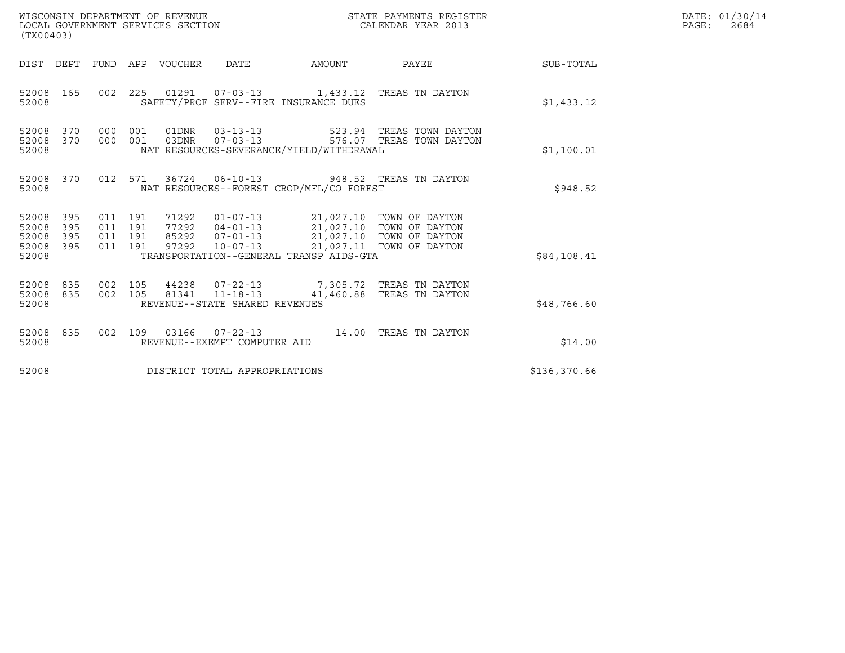| (TX00403)                                                          |                                          | WISCONSIN DEPARTMENT OF REVENUE<br>LOCAL GOVERNMENT SERVICES SECTION |                                |                                                                                                                                                                        | STATE PAYMENTS REGISTER<br>CALENDAR YEAR 2013                                             |              | DATE: 01/30/14<br>$\mathtt{PAGE:}$<br>2684 |
|--------------------------------------------------------------------|------------------------------------------|----------------------------------------------------------------------|--------------------------------|------------------------------------------------------------------------------------------------------------------------------------------------------------------------|-------------------------------------------------------------------------------------------|--------------|--------------------------------------------|
|                                                                    |                                          | DIST DEPT FUND APP VOUCHER                                           | DATE                           | AMOUNT                                                                                                                                                                 | PAYEE                                                                                     | SUB-TOTAL    |                                            |
| 52008 165<br>52008                                                 |                                          |                                                                      |                                | SAFETY/PROF SERV--FIRE INSURANCE DUES                                                                                                                                  | 002  225  01291  07-03-13  1,433.12  TREAS TN DAYTON                                      | \$1,433.12   |                                            |
| 52008 370<br>370<br>52008<br>52008                                 | 000 001<br>000 001                       |                                                                      | 03DNR        07-03-13          | NAT RESOURCES-SEVERANCE/YIELD/WITHDRAWAL                                                                                                                               | 01DNR  03-13-13  523.94 TREAS TOWN DAYTON<br>576.07 TREAS TOWN DAYTON                     | \$1,100.01   |                                            |
| 52008 370<br>52008                                                 |                                          |                                                                      |                                | NAT RESOURCES--FOREST CROP/MFL/CO FOREST                                                                                                                               | 012 571 36724 06-10-13 948.52 TREAS TN DAYTON                                             | \$948.52     |                                            |
| 52008 395<br>395<br>52008<br>52008<br>395<br>52008<br>395<br>52008 | 011 191<br>011 191<br>011 191<br>011 191 | 71292<br>97292                                                       | $10 - 07 - 13$                 | 01-07-13 21,027.10 TOWN OF DAYTON<br>77292  04-01-13  21,027.10 TOWN OF DAYTON<br>85292  07-01-13  21,027.10 TOWN OF DAYTON<br>TRANSPORTATION--GENERAL TRANSP AIDS-GTA | 21,027.11 TOWN OF DAYTON                                                                  | \$84,108.41  |                                            |
| 52008<br>835<br>52008 835<br>52008                                 | 002 105<br>002 105                       |                                                                      | REVENUE--STATE SHARED REVENUES |                                                                                                                                                                        | 44238  07-22-13  7,305.72  TREAS TN DAYTON<br>81341  11-18-13  41,460.88  TREAS TN DAYTON | \$48,766.60  |                                            |
| 52008 835<br>52008                                                 | 002 109                                  |                                                                      | REVENUE--EXEMPT COMPUTER AID   |                                                                                                                                                                        | 03166  07-22-13  14.00 TREAS TN DAYTON                                                    | \$14.00      |                                            |
| 52008                                                              |                                          | DISTRICT TOTAL APPROPRIATIONS                                        |                                |                                                                                                                                                                        |                                                                                           | \$136,370.66 |                                            |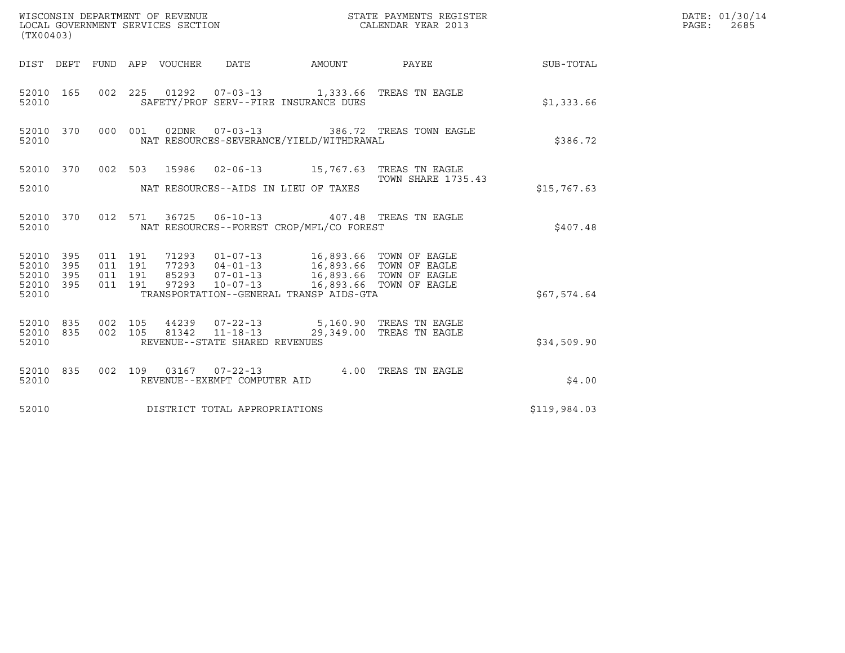| (TX00403)                                  | WISCONSIN DEPARTMENT OF REVENUE<br>LOCAL GOVERNMENT SERVICES SECTION                                                                                               | STATE PAYMENTS REGISTER<br>CALENDAR YEAR 2013 |              | DATE: 01/30/14<br>PAGE:<br>2685 |
|--------------------------------------------|--------------------------------------------------------------------------------------------------------------------------------------------------------------------|-----------------------------------------------|--------------|---------------------------------|
|                                            | DIST DEPT FUND APP VOUCHER DATE<br>AMOUNT                                                                                                                          | PAYEE SUB-TOTAL                               |              |                                 |
| 52010 165<br>52010                         | 002 225 01292 07-03-13 1,333.66 TREAS TN EAGLE<br>SAFETY/PROF SERV--FIRE INSURANCE DUES                                                                            |                                               | \$1,333.66   |                                 |
| 52010 370<br>52010                         | 02DNR  07-03-13  386.72 TREAS TOWN EAGLE<br>000 001<br>NAT RESOURCES-SEVERANCE/YIELD/WITHDRAWAL                                                                    |                                               | \$386.72     |                                 |
| 52010 370                                  | 002 503 15986 02-06-13 15,767.63 TREAS TN EAGLE                                                                                                                    | TOWN SHARE 1735.43                            |              |                                 |
| 52010                                      | NAT RESOURCES--AIDS IN LIEU OF TAXES                                                                                                                               |                                               | \$15,767.63  |                                 |
| 52010 370<br>52010                         | 012 571 36725 06-10-13 407.48 TREAS TN EAGLE<br>NAT RESOURCES--FOREST CROP/MFL/CO FOREST                                                                           |                                               | \$407.48     |                                 |
| 52010 395<br>52010 395                     | 011 191<br>71293   01-07-13   16,893.66   TOWN OF EAGLE<br>77293   04-01-13   16,893.66   TOWN OF EAGLE<br>85293   07-01-13   16,893.66   TOWN OF EAGLE<br>011 191 |                                               |              |                                 |
| 395<br>52010<br>395<br>52010<br>52010      | 011 191<br>011 191<br>$10 - 07 - 13$<br>97293<br>TRANSPORTATION--GENERAL TRANSP AIDS-GTA                                                                           | 16,893.66 TOWN OF EAGLE                       | \$67,574.64  |                                 |
| 52010 835<br>002 105<br>52010 835<br>52010 | 002 105<br>44239  07-22-13  5,160.90  TREAS TN EAGLE<br>81342 11-18-13<br>REVENUE--STATE SHARED REVENUES                                                           | 29,349.00 TREAS TN EAGLE                      | \$34,509.90  |                                 |
| 52010 835<br>52010                         | 002 109 03167 07-22-13 4.00 TREAS TN EAGLE<br>REVENUE--EXEMPT COMPUTER AID                                                                                         |                                               | \$4.00       |                                 |
| 52010                                      | DISTRICT TOTAL APPROPRIATIONS                                                                                                                                      |                                               | \$119,984.03 |                                 |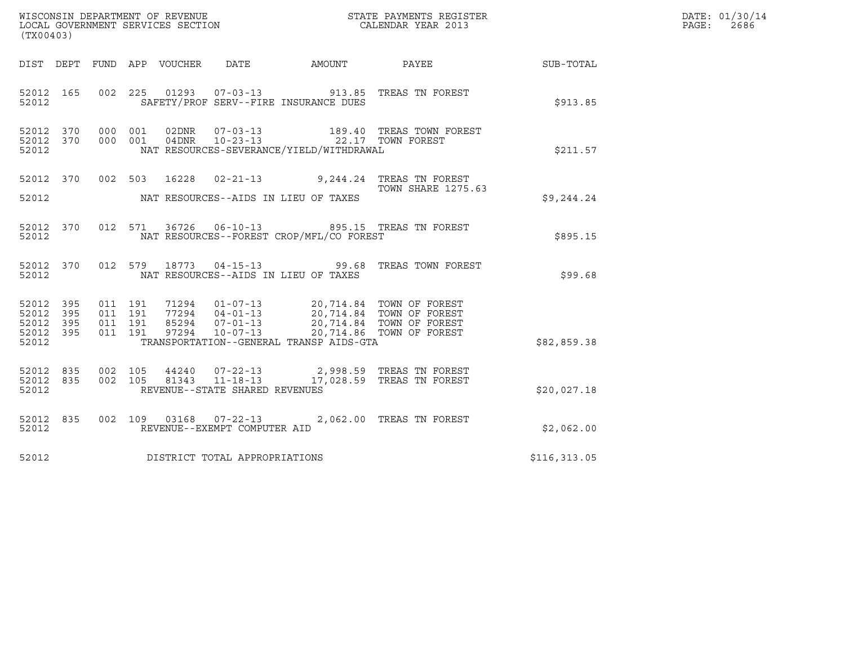| (TX00403)                                                 |           |                               |         |                |                                                  |                                          | $\tt WISCONSIM DEPARTMENT OF REVENUE$ $\tt WISCONMIN SERS THE RAYMENT S REGISTERLOCAL GOVERNMENT SERVICES SECTION CALENDAR YEAR 2013$                                                                                                                                                                                  |              | DATE: 01/30/14<br>PAGE:<br>2686 |
|-----------------------------------------------------------|-----------|-------------------------------|---------|----------------|--------------------------------------------------|------------------------------------------|------------------------------------------------------------------------------------------------------------------------------------------------------------------------------------------------------------------------------------------------------------------------------------------------------------------------|--------------|---------------------------------|
|                                                           |           |                               |         |                |                                                  | DIST DEPT FUND APP VOUCHER DATE AMOUNT   | <b>PAYEE</b>                                                                                                                                                                                                                                                                                                           | SUB-TOTAL    |                                 |
| 52012 165<br>52012                                        |           |                               |         |                |                                                  | SAFETY/PROF SERV--FIRE INSURANCE DUES    | 002 225 01293 07-03-13 913.85 TREAS TN FOREST                                                                                                                                                                                                                                                                          | \$913.85     |                                 |
| 52012 370<br>52012 370<br>52012                           |           | 000 001<br>000 001            |         |                | 02DNR        07-03-13<br>04DNR 10-23-13          | NAT RESOURCES-SEVERANCE/YIELD/WITHDRAWAL | 189.40 TREAS TOWN FOREST<br>22.17 TOWN FOREST                                                                                                                                                                                                                                                                          | \$211.57     |                                 |
| 52012                                                     |           |                               |         |                |                                                  | NAT RESOURCES--AIDS IN LIEU OF TAXES     | 52012 370 002 503 16228 02-21-13 9,244.24 TREAS TN FOREST<br><b>TOWN SHARE 1275.63</b>                                                                                                                                                                                                                                 | \$9,244.24   |                                 |
| 52012 370<br>52012                                        |           |                               |         |                |                                                  | NAT RESOURCES--FOREST CROP/MFL/CO FOREST | 012 571 36726 06-10-13 895.15 TREAS TN FOREST                                                                                                                                                                                                                                                                          | \$895.15     |                                 |
| 52012 370<br>52012                                        |           | 012 579                       |         |                |                                                  | NAT RESOURCES--AIDS IN LIEU OF TAXES     | 18773  04-15-13  99.68  TREAS TOWN FOREST                                                                                                                                                                                                                                                                              | \$99.68      |                                 |
| 52012 395<br>52012 395<br>52012 395<br>52012 395<br>52012 |           | 011 191<br>011 191<br>011 191 | 011 191 |                |                                                  | TRANSPORTATION--GENERAL TRANSP AIDS-GTA  | $\begin{array}{cccc} 71294 & 01\hbox{-}07\hbox{-}13 & 20,714.84 & \text{TOWN OF FOREST} \\ 77294 & 04\hbox{-}01\hbox{-}13 & 20,714.84 & \text{TOWN OF FOREST} \\ 85294 & 07\hbox{-}01\hbox{-}13 & 20,714.84 & \text{TOWN OF FOREST} \\ 97294 & 10\hbox{-}07\hbox{-}13 & 20,714.86 & \text{TOWN OF FOREST} \end{array}$ | \$82,859.38  |                                 |
| 52012 835<br>52012 835<br>52012                           |           | 002 105<br>002 105            |         | 44240<br>81343 | $11 - 18 - 13$<br>REVENUE--STATE SHARED REVENUES |                                          | 07-22-13 2,998.59 TREAS TN FOREST<br>17,028.59 TREAS TN FOREST                                                                                                                                                                                                                                                         | \$20,027.18  |                                 |
| 52012                                                     | 52012 835 |                               |         |                | REVENUE--EXEMPT COMPUTER AID                     |                                          | 002 109 03168 07-22-13 2,062.00 TREAS TN FOREST                                                                                                                                                                                                                                                                        | \$2,062.00   |                                 |
| 52012                                                     |           |                               |         |                | DISTRICT TOTAL APPROPRIATIONS                    |                                          |                                                                                                                                                                                                                                                                                                                        | \$116,313.05 |                                 |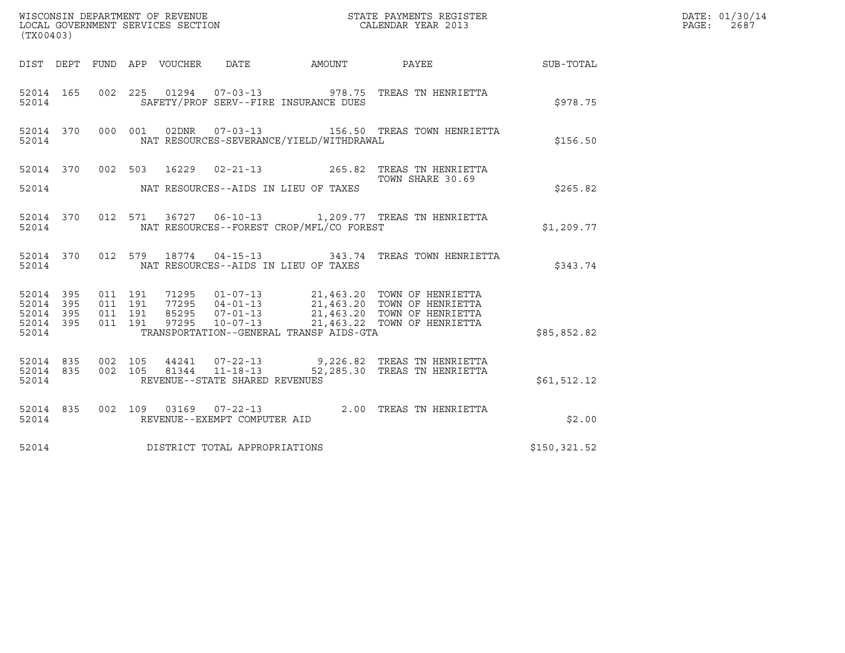| (TX00403)                                                    | $\tt WISCONSIM DEPARTMENT OF REVENUE$ $\tt WISCONMIN SERS THE RAYMENT S REGISTERLOCAL GOVERNMENT SERVICES SECTION CALENDAR YEAR 2013$                                                                                                                                                   |                  |              | DATE: 01/30/14<br>PAGE:<br>2687 |
|--------------------------------------------------------------|-----------------------------------------------------------------------------------------------------------------------------------------------------------------------------------------------------------------------------------------------------------------------------------------|------------------|--------------|---------------------------------|
|                                                              | DIST DEPT FUND APP VOUCHER DATE AMOUNT PAYEE TO SUB-TOTAL                                                                                                                                                                                                                               |                  |              |                                 |
| 52014 165<br>52014                                           | 002 225 01294 07-03-13 978.75 TREAS TN HENRIETTA<br>SAFETY/PROF SERV--FIRE INSURANCE DUES                                                                                                                                                                                               |                  | \$978.75     |                                 |
| 52014 370 000 001<br>52014                                   | 02DNR  07-03-13  156.50 TREAS TOWN HENRIETTA<br>NAT RESOURCES-SEVERANCE/YIELD/WITHDRAWAL                                                                                                                                                                                                |                  | \$156.50     |                                 |
|                                                              | 52014 370 002 503 16229 02-21-13 265.82 TREAS TN HENRIETTA<br>TOWN SHARE 30.69                                                                                                                                                                                                          | TOWN SHARE 30.69 |              |                                 |
| 52014                                                        | NAT RESOURCES--AIDS IN LIEU OF TAXES                                                                                                                                                                                                                                                    |                  | \$265.82     |                                 |
| 52014                                                        | 52014 370 012 571 36727 06-10-13 1,209.77 TREAS TN HENRIETTA<br>NAT RESOURCES--FOREST CROP/MFL/CO FOREST                                                                                                                                                                                |                  | \$1,209.77   |                                 |
| 52014                                                        | 52014 370 012 579 18774 04-15-13 343.74 TREAS TOWN HENRIETTA<br>NAT RESOURCES--AIDS IN LIEU OF TAXES                                                                                                                                                                                    |                  | \$343.74     |                                 |
| 52014 395<br>52014<br>395<br>52014 395<br>52014 395<br>52014 | 71295  01-07-13  21,463.20  TOWN OF HENRIETTA<br>77295  04-01-13  21,463.20  TOWN OF HENRIETTA<br>85295  07-01-13  21,463.20  TOWN OF HENRIETTA<br>97295  10-07-13  21,463.22  TOWN OF HENRIETTA<br>011 191<br>011 191<br>011 191<br>011 191<br>TRANSPORTATION--GENERAL TRANSP AIDS-GTA |                  | \$85,852.82  |                                 |
| 52014 835<br>52014 835<br>52014                              | 002 105 44241 07-22-13 9,226.82 TREAS TN HENRIETTA<br>002 105 81344 11-18-13 52,285.30 TREAS TN HENRIETTA<br>REVENUE--STATE SHARED REVENUES                                                                                                                                             |                  | \$61,512.12  |                                 |
| 52014 835<br>52014                                           | 002 109 03169 07-22-13 2.00 TREAS TN HENRIETTA<br>REVENUE--EXEMPT COMPUTER AID                                                                                                                                                                                                          |                  | \$2.00       |                                 |
| 52014                                                        | DISTRICT TOTAL APPROPRIATIONS                                                                                                                                                                                                                                                           |                  | \$150,321.52 |                                 |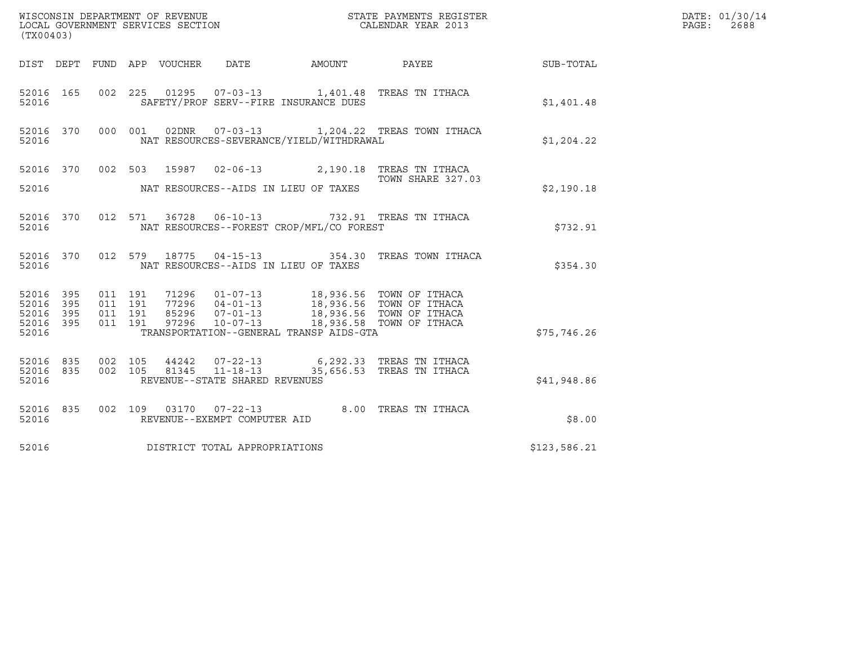| (TX00403)                                                     |     |                               | ${\tt WISCOONSIM\ DEPARTMENT\ OF\ REVENUE}\qquad \qquad {\tt STATE\ PAYMENTS\ REGISTER\ LOCAL\ GOVERNMENT\ SERVICES\ SECTION\qquad \qquad {\tt CALENDAR\ YEAR\ 2013}$ |                                                                                                                                                                                                                                 | DATE: 01/30/14<br>PAGE:<br>2688                             |              |  |
|---------------------------------------------------------------|-----|-------------------------------|-----------------------------------------------------------------------------------------------------------------------------------------------------------------------|---------------------------------------------------------------------------------------------------------------------------------------------------------------------------------------------------------------------------------|-------------------------------------------------------------|--------------|--|
|                                                               |     |                               | DIST DEPT FUND APP VOUCHER DATE                                                                                                                                       |                                                                                                                                                                                                                                 | AMOUNT PAYEE SUB-TOTAL                                      |              |  |
| 52016                                                         |     |                               | SAFETY/PROF SERV--FIRE INSURANCE DUES                                                                                                                                 | 52016 165 002 225 01295 07-03-13 1,401.48 TREAS TN ITHACA                                                                                                                                                                       |                                                             | \$1,401.48   |  |
| 52016                                                         |     |                               |                                                                                                                                                                       | NAT RESOURCES-SEVERANCE/YIELD/WITHDRAWAL                                                                                                                                                                                        | 52016 370 000 001 02DNR 07-03-13 1,204.22 TREAS TOWN ITHACA | \$1,204.22   |  |
|                                                               |     |                               |                                                                                                                                                                       | 52016 370 002 503 15987 02-06-13 2,190.18 TREAS TN ITHACA<br>TOWN SHARE 327.0                                                                                                                                                   | TOWN SHARE 327.03                                           |              |  |
| 52016                                                         |     |                               | NAT RESOURCES--AIDS IN LIEU OF TAXES                                                                                                                                  |                                                                                                                                                                                                                                 |                                                             | \$2,190.18   |  |
| 52016                                                         |     |                               |                                                                                                                                                                       | 52016 370 012 571 36728 06-10-13 732.91 TREAS TN ITHACA<br>NAT RESOURCES--FOREST CROP/MFL/CO FOREST                                                                                                                             |                                                             | \$732.91     |  |
| 52016                                                         |     |                               | NAT RESOURCES--AIDS IN LIEU OF TAXES                                                                                                                                  |                                                                                                                                                                                                                                 | 52016 370 012 579 18775 04-15-13 354.30 TREAS TOWN ITHACA   | \$354.30     |  |
| 52016 395 011 191<br>52016<br>52016 395<br>52016 395<br>52016 | 395 | 011 191<br>011 191<br>011 191 |                                                                                                                                                                       | 71296  01-07-13  18,936.56  TOWN OF ITHACA<br>77296  04-01-13  18,936.56  TOWN OF ITHACA<br>85296  07-01-13  18,936.56  TOWN OF ITHACA<br>97296  10-07-13  18,936.58  TOWN OF ITHACA<br>TRANSPORTATION--GENERAL TRANSP AIDS-GTA |                                                             | \$75,746.26  |  |
| 52016 835<br>52016 835<br>52016                               |     |                               | REVENUE--STATE SHARED REVENUES                                                                                                                                        | 002 105 44242 07-22-13 6,292.33 TREAS TN ITHACA<br>002 105 81345 11-18-13 35,656.53 TREAS TN ITHACA                                                                                                                             |                                                             | \$41,948.86  |  |
| 52016                                                         |     |                               | REVENUE--EXEMPT COMPUTER AID                                                                                                                                          | 52016 835 002 109 03170 07-22-13 8.00 TREAS TN ITHACA                                                                                                                                                                           |                                                             | \$8.00       |  |
| 52016                                                         |     |                               | DISTRICT TOTAL APPROPRIATIONS                                                                                                                                         |                                                                                                                                                                                                                                 |                                                             | \$123,586.21 |  |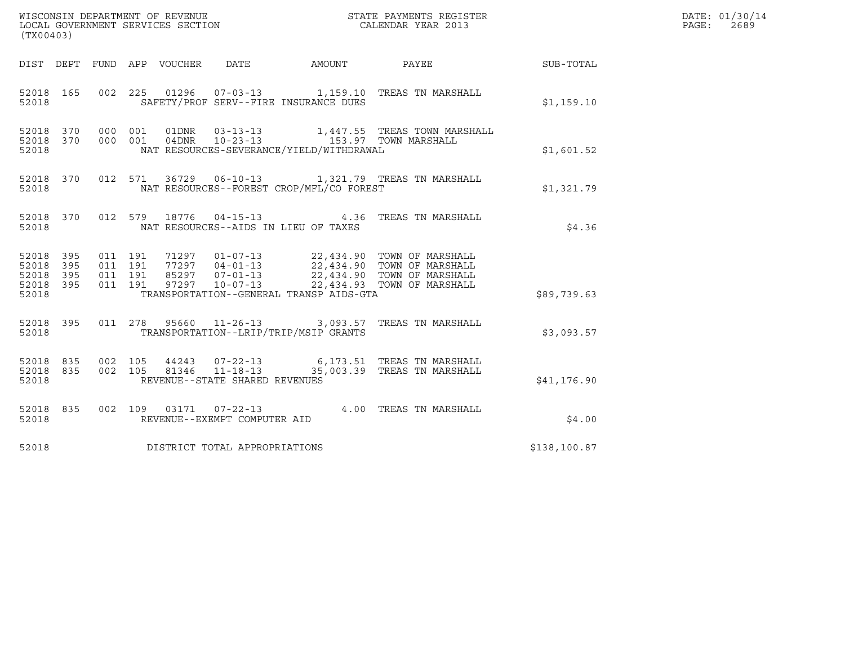| (TX00403)                                                 |                                          |                                 |                                      |                                          |                                                                                                                                                                                                                       |              | DATE: 01/30/14<br>PAGE:<br>2689 |
|-----------------------------------------------------------|------------------------------------------|---------------------------------|--------------------------------------|------------------------------------------|-----------------------------------------------------------------------------------------------------------------------------------------------------------------------------------------------------------------------|--------------|---------------------------------|
|                                                           |                                          | DIST DEPT FUND APP VOUCHER DATE |                                      |                                          |                                                                                                                                                                                                                       |              |                                 |
| 52018                                                     |                                          |                                 |                                      | SAFETY/PROF SERV--FIRE INSURANCE DUES    | 52018 165 002 225 01296 07-03-13 1,159.10 TREAS TN MARSHALL                                                                                                                                                           | \$1,159.10   |                                 |
| 52018                                                     |                                          |                                 |                                      | NAT RESOURCES-SEVERANCE/YIELD/WITHDRAWAL |                                                                                                                                                                                                                       | \$1,601.52   |                                 |
| 52018 370<br>52018                                        |                                          |                                 |                                      | NAT RESOURCES--FOREST CROP/MFL/CO FOREST | 012 571 36729 06-10-13 1,321.79 TREAS TN MARSHALL                                                                                                                                                                     | \$1,321.79   |                                 |
| 52018 370<br>52018                                        |                                          |                                 | NAT RESOURCES--AIDS IN LIEU OF TAXES |                                          | 012 579 18776 04-15-13 4.36 TREAS TN MARSHALL                                                                                                                                                                         | \$4.36       |                                 |
| 52018 395<br>52018 395<br>52018 395<br>52018 395<br>52018 | 011 191<br>011 191<br>011 191<br>011 191 |                                 |                                      | TRANSPORTATION--GENERAL TRANSP AIDS-GTA  | 71297  01-07-13  22,434.90  TOWN OF MARSHALL<br>77297  04-01-13  22,434.90  TOWN OF MARSHALL<br>85297  07-01-13  22,434.90  TOWN OF MARSHALL<br>97297  10-07-13  22,434.93  TOWN OF MARSHALL                          | \$89,739.63  |                                 |
| 52018 395<br>52018                                        |                                          |                                 |                                      | TRANSPORTATION--LRIP/TRIP/MSIP GRANTS    | 011 278 95660 11-26-13 3,093.57 TREAS TN MARSHALL                                                                                                                                                                     | \$3,093.57   |                                 |
| 52018                                                     |                                          |                                 | REVENUE--STATE SHARED REVENUES       |                                          | $\begin{array}{cccccccc} 52018 & 835 & 002 & 105 & 44243 & 07-22-13 & & & & 6,173.51 & \text{TREAS TN MARSHALL} \\ 52018 & 835 & 002 & 105 & 81346 & 11-18-13 & & & 35,003.39 & \text{TREAS TN MARSHALL} \end{array}$ | \$41,176.90  |                                 |
| 52018 835<br>52018                                        |                                          |                                 | REVENUE--EXEMPT COMPUTER AID         |                                          | 002 109 03171 07-22-13 4.00 TREAS TN MARSHALL                                                                                                                                                                         | \$4.00       |                                 |
| 52018                                                     |                                          |                                 | DISTRICT TOTAL APPROPRIATIONS        |                                          |                                                                                                                                                                                                                       | \$138,100.87 |                                 |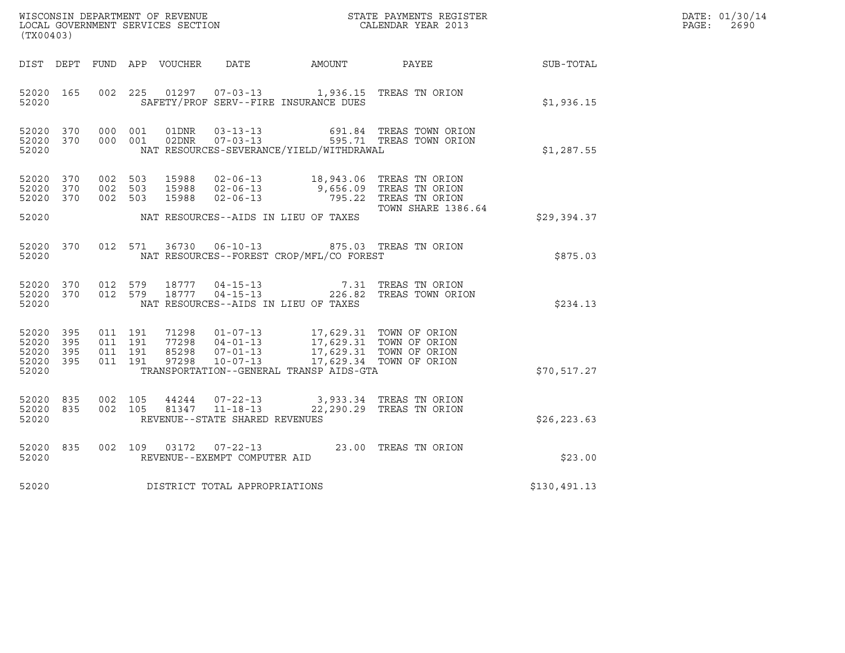| (TX00403)                                             |            |                                          |         |                                  |                                                  |                                                                                                                                                                                         | $\tt WISCONSIM DEPARTMENT OF REVENUE$ $\tt SCAIL GOVERNMENT SERVICES SECTION$ $\tt CALENDAR YEAR$ $2013$                             |                  | DATE: 01/30/14<br>$\mathtt{PAGE:}$<br>2690 |
|-------------------------------------------------------|------------|------------------------------------------|---------|----------------------------------|--------------------------------------------------|-----------------------------------------------------------------------------------------------------------------------------------------------------------------------------------------|--------------------------------------------------------------------------------------------------------------------------------------|------------------|--------------------------------------------|
|                                                       |            |                                          |         |                                  |                                                  | DIST DEPT FUND APP VOUCHER DATE AMOUNT PAYEE                                                                                                                                            |                                                                                                                                      | <b>SUB-TOTAL</b> |                                            |
| 52020 165<br>52020                                    |            | 002 225                                  |         |                                  |                                                  | 01297  07-03-13  1,936.15  TREAS TN ORION<br>SAFETY/PROF SERV--FIRE INSURANCE DUES                                                                                                      |                                                                                                                                      | \$1,936.15       |                                            |
| 52020 370<br>52020 370<br>52020                       |            | 000 001<br>000 001                       |         |                                  |                                                  | NAT RESOURCES-SEVERANCE/YIELD/WITHDRAWAL                                                                                                                                                |                                                                                                                                      | \$1,287.55       |                                            |
| 52020 370<br>52020<br>52020                           | 370<br>370 | 002 503<br>002 503<br>002 503            |         | 15988<br>15988<br>15988          |                                                  |                                                                                                                                                                                         | 02-06-13 18,943.06 TREAS TN ORION<br>02-06-13 9,656.09 TREAS TN ORION<br>02-06-13 795.22 TREAS TN ORION<br><b>TOWN SHARE 1386.64</b> |                  |                                            |
| 52020                                                 |            |                                          |         |                                  |                                                  | NAT RESOURCES--AIDS IN LIEU OF TAXES                                                                                                                                                    |                                                                                                                                      | \$29,394.37      |                                            |
| 52020 370<br>52020                                    |            |                                          | 012 571 |                                  | 36730 06-10-13                                   | NAT RESOURCES--FOREST CROP/MFL/CO FOREST                                                                                                                                                | 875.03 TREAS TN ORION                                                                                                                | \$875.03         |                                            |
| 52020 370<br>52020 370<br>52020                       |            | 012 579<br>012 579                       |         | 18777<br>18777                   |                                                  | NAT RESOURCES--AIDS IN LIEU OF TAXES                                                                                                                                                    | 04-15-13 7.31 TREAS TN ORION<br>04-15-13 226.82 TREAS TOWN ORIO<br>226.82 TREAS TOWN ORION                                           | \$234.13         |                                            |
| 52020 395<br>52020<br>52020 395<br>52020 395<br>52020 | 395        | 011 191<br>011 191<br>011 191<br>011 191 |         | 71298<br>77298<br>85298<br>97298 |                                                  | 01-07-13 17,629.31 TOWN OF ORION<br>04-01-13 17,629.31 TOWN OF ORION<br>07-01-13 17,629.31 TOWN OF ORION<br>10-07-13 17,629.34 TOWN OF ORION<br>TRANSPORTATION--GENERAL TRANSP AIDS-GTA |                                                                                                                                      | \$70,517.27      |                                            |
| 52020 835<br>52020 835<br>52020                       |            | 002 105<br>002 105                       |         | 44244                            | 81347 11-18-13<br>REVENUE--STATE SHARED REVENUES | 07-22-13 3,933.34 TREAS TN ORION                                                                                                                                                        | 22,290.29 TREAS TN ORION                                                                                                             | \$26, 223.63     |                                            |
| 52020 835<br>52020                                    |            | 002 109                                  |         | 03172                            | REVENUE--EXEMPT COMPUTER AID                     | 07-22-13 23.00 TREAS TN ORION                                                                                                                                                           |                                                                                                                                      | \$23.00          |                                            |
| 52020                                                 |            |                                          |         |                                  | DISTRICT TOTAL APPROPRIATIONS                    |                                                                                                                                                                                         |                                                                                                                                      | \$130,491.13     |                                            |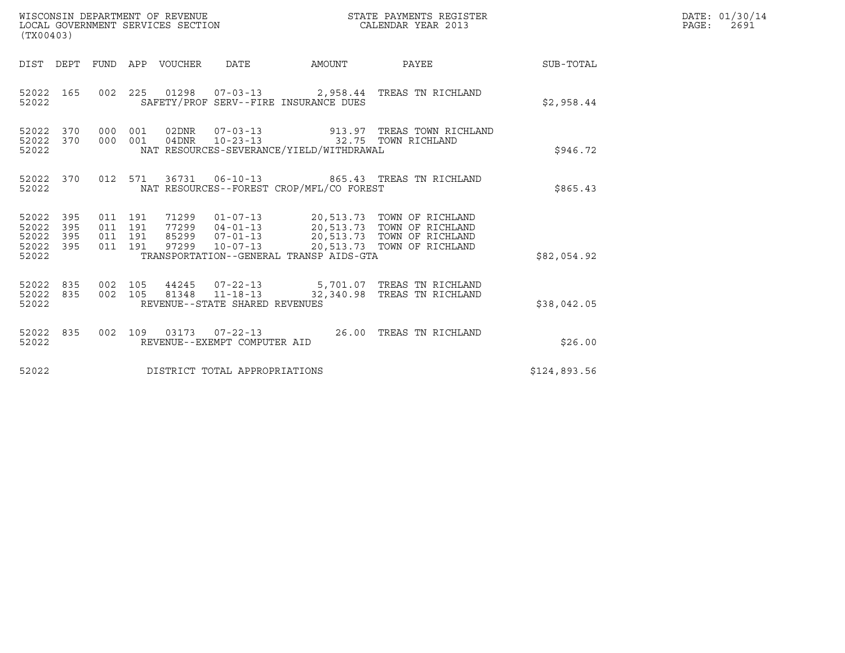| (TX00403)                                     |                   |                                          |         | WISCONSIN DEPARTMENT OF REVENUE<br>LOCAL GOVERNMENT SERVICES SECTION |                                  |                                          | STATE PAYMENTS REGISTER<br>CALENDAR YEAR 2013                                                                                                   |              | DATE: 01/30/14<br>$\mathtt{PAGE:}$<br>2691 |
|-----------------------------------------------|-------------------|------------------------------------------|---------|----------------------------------------------------------------------|----------------------------------|------------------------------------------|-------------------------------------------------------------------------------------------------------------------------------------------------|--------------|--------------------------------------------|
| DIST DEPT                                     |                   |                                          |         | FUND APP VOUCHER                                                     | DATE                             | <b>AMOUNT</b>                            | PAYEE                                                                                                                                           | SUB-TOTAL    |                                            |
| 52022 165<br>52022                            |                   |                                          |         |                                                                      |                                  | SAFETY/PROF SERV--FIRE INSURANCE DUES    | 002 225 01298 07-03-13 2,958.44 TREAS TN RICHLAND                                                                                               | \$2,958.44   |                                            |
| 52022 370<br>52022<br>52022                   | 370               | 000<br>000 001                           | 001     | 04DNR                                                                | $10 - 23 - 13$                   | NAT RESOURCES-SEVERANCE/YIELD/WITHDRAWAL | 02DNR  07-03-13  913.97  TREAS TOWN RICHLAND<br>32.75 TOWN RICHLAND                                                                             | \$946.72     |                                            |
| 52022 370<br>52022                            |                   |                                          | 012 571 |                                                                      |                                  | NAT RESOURCES--FOREST CROP/MFL/CO FOREST | 36731   06-10-13   865.43   TREAS TN RICHLAND                                                                                                   | \$865.43     |                                            |
| 52022 395<br>52022<br>52022<br>52022<br>52022 | 395<br>395<br>395 | 011 191<br>011 191<br>011 191<br>011 191 |         | 71299<br>85299<br>97299                                              | $07 - 01 - 13$<br>$10 - 07 - 13$ | TRANSPORTATION--GENERAL TRANSP AIDS-GTA  | 01-07-13 20,513.73 TOWN OF RICHLAND<br>77299  04-01-13  20,513.73  TOWN OF RICHLAND<br>20,513.73 TOWN OF RICHLAND<br>20,513.73 TOWN OF RICHLAND | \$82,054.92  |                                            |
| 52022<br>52022 835<br>52022                   | 835               | 002 105<br>002 105                       |         |                                                                      | REVENUE--STATE SHARED REVENUES   |                                          | 44245  07-22-13  5,701.07  TREAS TN RICHLAND<br>81348  11-18-13  32,340.98 TREAS TN RICHLAND                                                    | \$38,042.05  |                                            |
| 52022 835<br>52022                            |                   | 002 109                                  |         |                                                                      | REVENUE--EXEMPT COMPUTER AID     |                                          | 03173  07-22-13  26.00  TREAS TN RICHLAND                                                                                                       | \$26.00      |                                            |
| 52022                                         |                   |                                          |         |                                                                      | DISTRICT TOTAL APPROPRIATIONS    |                                          |                                                                                                                                                 | \$124,893.56 |                                            |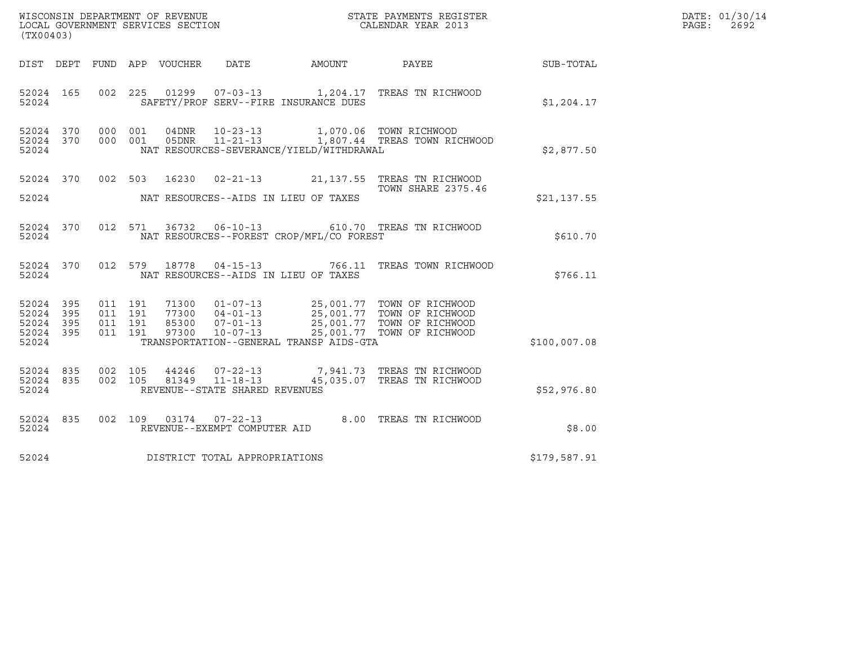| (TX00403)                                             |     |                                          |         |                  | WISCONSIN DEPARTMENT OF REVENUE<br>LOCAL GOVERNMENT SERVICES SECTION |                                          | STATE PAYMENTS REGISTER<br>CALENDAR YEAR 2013                                                                                                                                    |              | DATE: 01/30/14<br>PAGE:<br>2692 |
|-------------------------------------------------------|-----|------------------------------------------|---------|------------------|----------------------------------------------------------------------|------------------------------------------|----------------------------------------------------------------------------------------------------------------------------------------------------------------------------------|--------------|---------------------------------|
| DIST DEPT                                             |     |                                          |         | FUND APP VOUCHER | DATE                                                                 | AMOUNT                                   | PAYEE                                                                                                                                                                            | SUB-TOTAL    |                                 |
| 52024 165<br>52024                                    |     | 002 225                                  |         |                  |                                                                      | SAFETY/PROF SERV--FIRE INSURANCE DUES    | 01299  07-03-13  1,204.17  TREAS TN RICHWOOD                                                                                                                                     | \$1,204.17   |                                 |
| 52024 370<br>52024 370<br>52024                       |     | 000 001<br>000 001                       |         | 04DNR<br>05DNR   | $10 - 23 - 13$<br>$11 - 21 - 13$                                     | NAT RESOURCES-SEVERANCE/YIELD/WITHDRAWAL | 1,070.06 TOWN RICHWOOD<br>1,807.44 TREAS TOWN RICHWOOD                                                                                                                           | \$2,877.50   |                                 |
| 52024 370<br>52024                                    |     |                                          | 002 503 |                  |                                                                      | NAT RESOURCES--AIDS IN LIEU OF TAXES     | 16230  02-21-13  21, 137.55  TREAS  TN RICHWOOD<br><b>TOWN SHARE 2375.46</b>                                                                                                     | \$21,137.55  |                                 |
| 52024 370<br>52024                                    |     |                                          | 012 571 | 36732            |                                                                      | NAT RESOURCES--FOREST CROP/MFL/CO FOREST | 06-10-13 610.70 TREAS TN RICHWOOD                                                                                                                                                | \$610.70     |                                 |
| 52024 370<br>52024                                    |     | 012 579                                  |         | 18778            | 04-15-13                                                             | NAT RESOURCES--AIDS IN LIEU OF TAXES     | 766.11 TREAS TOWN RICHWOOD                                                                                                                                                       | \$766.11     |                                 |
| 52024 395<br>52024 395<br>52024<br>52024 395<br>52024 | 395 | 011 191<br>011 191<br>011 191<br>011 191 |         | 85300<br>97300   | $07 - 01 - 13$                                                       | TRANSPORTATION--GENERAL TRANSP AIDS-GTA  | 71300  01-07-13  25,001.77  TOWN OF RICHWOOD<br>77300  04-01-13  25,001.77  TOWN OF RICHWOOD<br>07-01-13<br>07-01-13<br>25,001.77 TOWN OF RICHWOOD<br>25.001.77 TOWN OF PICHWOOD | \$100,007.08 |                                 |
| 52024 835<br>52024 835<br>52024                       |     | 002 105<br>002 105                       |         | 44246<br>81349   | $07 - 22 - 13$<br>$11 - 18 - 13$<br>REVENUE--STATE SHARED REVENUES   |                                          | 7,941.73 TREAS TN RICHWOOD<br>45,035.07 TREAS TN RICHWOOD                                                                                                                        | \$52,976.80  |                                 |
| 52024 835<br>52024                                    |     |                                          | 002 109 |                  | REVENUE--EXEMPT COMPUTER AID                                         |                                          | 8.00 TREAS TN RICHWOOD                                                                                                                                                           | \$8.00       |                                 |
| 52024                                                 |     |                                          |         |                  | DISTRICT TOTAL APPROPRIATIONS                                        |                                          |                                                                                                                                                                                  | \$179,587.91 |                                 |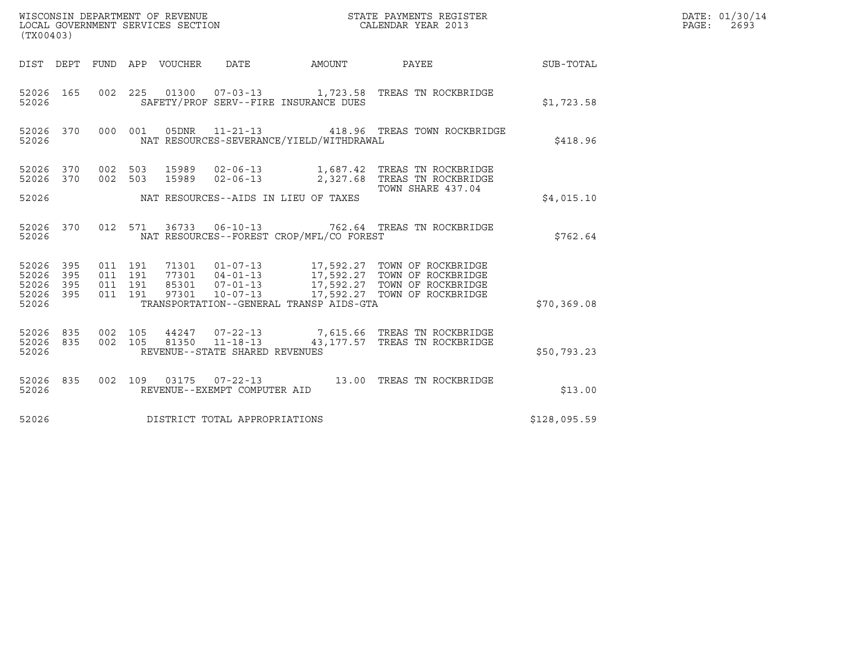| (TX00403)                                 |                          |                               |         | WISCONSIN DEPARTMENT OF REVENUE<br>LOCAL GOVERNMENT SERVICES SECTION |                                          | STATE PAYMENTS REGISTER<br>CALENDAR YEAR 2013                                                                                                                                                                                         |              | DATE: 01/30/14<br>PAGE: 2693 |
|-------------------------------------------|--------------------------|-------------------------------|---------|----------------------------------------------------------------------|------------------------------------------|---------------------------------------------------------------------------------------------------------------------------------------------------------------------------------------------------------------------------------------|--------------|------------------------------|
|                                           |                          |                               |         |                                                                      |                                          | DIST DEPT FUND APP VOUCHER DATE AMOUNT PAYEE TO SUB-TOTAL                                                                                                                                                                             |              |                              |
| 52026 165<br>52026                        |                          |                               |         |                                                                      | SAFETY/PROF SERV--FIRE INSURANCE DUES    | 002  225  01300  07-03-13  1,723.58  TREAS TN ROCKBRIDGE                                                                                                                                                                              | \$1,723.58   |                              |
| 52026 370<br>52026                        |                          |                               | 000 001 |                                                                      | NAT RESOURCES-SEVERANCE/YIELD/WITHDRAWAL | 05DNR 11-21-13 418.96 TREAS TOWN ROCKBRIDGE                                                                                                                                                                                           | \$418.96     |                              |
|                                           |                          |                               |         |                                                                      |                                          | $\begin{array}{cccccc} 52026 & 370 & 002 & 503 & 15989 & 02-06-13 & & 1,687.42 & \text{TREAS TN ROCKERIDGE} \\ 52026 & 370 & 002 & 503 & 15989 & 02-06-13 & & 2,327.68 & \text{TREAS TN ROCKBRIDGE} \end{array}$<br>TOWN SHARE 437.04 |              |                              |
| 52026                                     |                          |                               |         |                                                                      | NAT RESOURCES--AIDS IN LIEU OF TAXES     |                                                                                                                                                                                                                                       | \$4.015.10   |                              |
| 52026 370<br>52026                        |                          |                               |         |                                                                      | NAT RESOURCES--FOREST CROP/MFL/CO FOREST | 012 571 36733 06-10-13 762.64 TREAS TN ROCKBRIDGE                                                                                                                                                                                     | \$762.64     |                              |
| 52026<br>52026<br>52026<br>52026<br>52026 | 395<br>395<br>395<br>395 | 011 191<br>011 191<br>011 191 | 011 191 |                                                                      | TRANSPORTATION--GENERAL TRANSP AIDS-GTA  |                                                                                                                                                                                                                                       | \$70,369.08  |                              |
| 52026<br>52026 835<br>52026               | 835                      | 002 105                       |         | 002 105 81350 11-18-13<br>REVENUE--STATE SHARED REVENUES             |                                          | 44247 07-22-13 7,615.66 TREAS TN ROCKBRIDGE<br>43, 177.57 TREAS TN ROCKBRIDGE                                                                                                                                                         | \$50,793.23  |                              |
| 52026 835<br>52026                        |                          |                               |         | REVENUE--EXEMPT COMPUTER AID                                         |                                          | 002 109 03175 07-22-13 13.00 TREAS TN ROCKBRIDGE                                                                                                                                                                                      | \$13.00      |                              |
| 52026                                     |                          |                               |         | DISTRICT TOTAL APPROPRIATIONS                                        |                                          |                                                                                                                                                                                                                                       | \$128,095.59 |                              |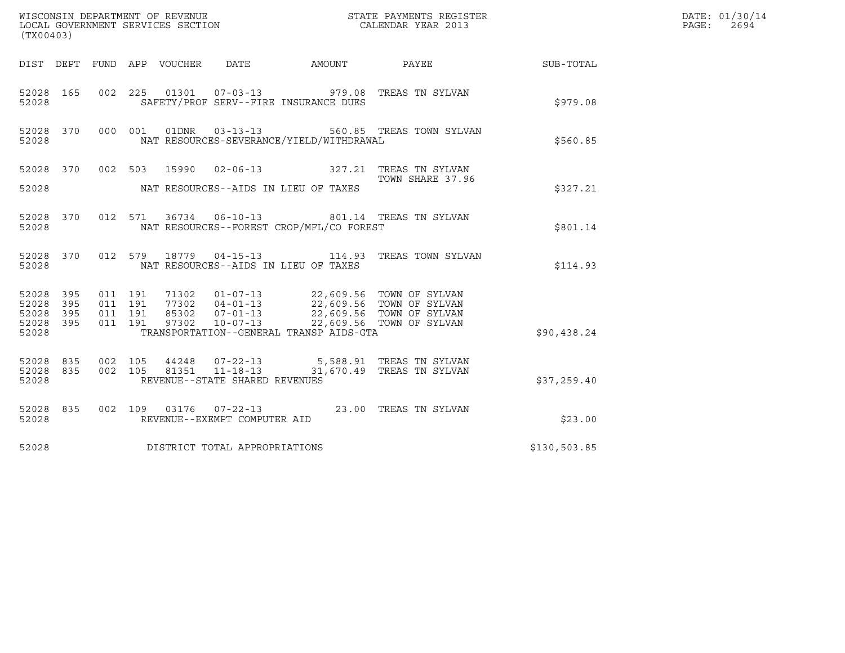| (TX00403)                                                                                                         |                                                                                                                                                                                                                     |                                         |              | DATE: 01/30/14<br>PAGE:<br>2694 |
|-------------------------------------------------------------------------------------------------------------------|---------------------------------------------------------------------------------------------------------------------------------------------------------------------------------------------------------------------|-----------------------------------------|--------------|---------------------------------|
| DIST DEPT FUND APP VOUCHER                                                                                        | DATE                                                                                                                                                                                                                | AMOUNT PAYEE                            | SUB-TOTAL    |                                 |
| 52028 165<br>52028                                                                                                | 002 225 01301 07-03-13 979.08 TREAS TN SYLVAN<br>SAFETY/PROF SERV--FIRE INSURANCE DUES                                                                                                                              |                                         | \$979.08     |                                 |
| 52028 370<br>000 001<br>52028                                                                                     | 01DNR<br>NAT RESOURCES-SEVERANCE/YIELD/WITHDRAWAL                                                                                                                                                                   | 03-13-13    560.85    TREAS TOWN SYLVAN | \$560.85     |                                 |
|                                                                                                                   | 52028 370 002 503 15990 02-06-13 327.21 TREAS TN SYLVAN                                                                                                                                                             | TOWN SHARE 37.96                        |              |                                 |
| 52028                                                                                                             | NAT RESOURCES--AIDS IN LIEU OF TAXES                                                                                                                                                                                |                                         | \$327.21     |                                 |
| 52028 370<br>52028                                                                                                | 012 571 36734 06-10-13 801.14 TREAS TN SYLVAN<br>NAT RESOURCES--FOREST CROP/MFL/CO FOREST                                                                                                                           |                                         | \$801.14     |                                 |
| 52028 370<br>012 579<br>52028                                                                                     | 18779  04-15-13    114.93    TREAS TOWN SYLVAN<br>NAT RESOURCES--AIDS IN LIEU OF TAXES                                                                                                                              |                                         | \$114.93     |                                 |
| 52028<br>395<br>011 191<br>011 191<br>52028<br>395<br>011 191<br>395<br>52028<br>011 191<br>395<br>52028<br>52028 | 71302 01-07-13 22,609.56 TOWN OF SYLVAN<br>77302 04-01-13 22,609.56 TOWN OF SYLVAN<br>85302 07-01-13 22,609.56 TOWN OF SYLVAN<br>97302 10-07-13 22,609.56 TOWN OF SYLVAN<br>TRANSPORTATION--GENERAL TRANSP AIDS-GTA |                                         | \$90,438.24  |                                 |
| 52028<br>835<br>002 105<br>835<br>002 105<br>52028<br>52028                                                       | 44248  07-22-13  5,588.91 TREAS TN SYLVAN<br>81351  11-18-13  31,670.49  TREAS TN SYLVAN<br>REVENUE--STATE SHARED REVENUES                                                                                          |                                         | \$37,259.40  |                                 |
| 52028 835<br>52028                                                                                                | 002 109 03176 07-22-13 23.00 TREAS TN SYLVAN<br>REVENUE--EXEMPT COMPUTER AID                                                                                                                                        |                                         | \$23.00      |                                 |
| 52028                                                                                                             | DISTRICT TOTAL APPROPRIATIONS                                                                                                                                                                                       |                                         | \$130,503.85 |                                 |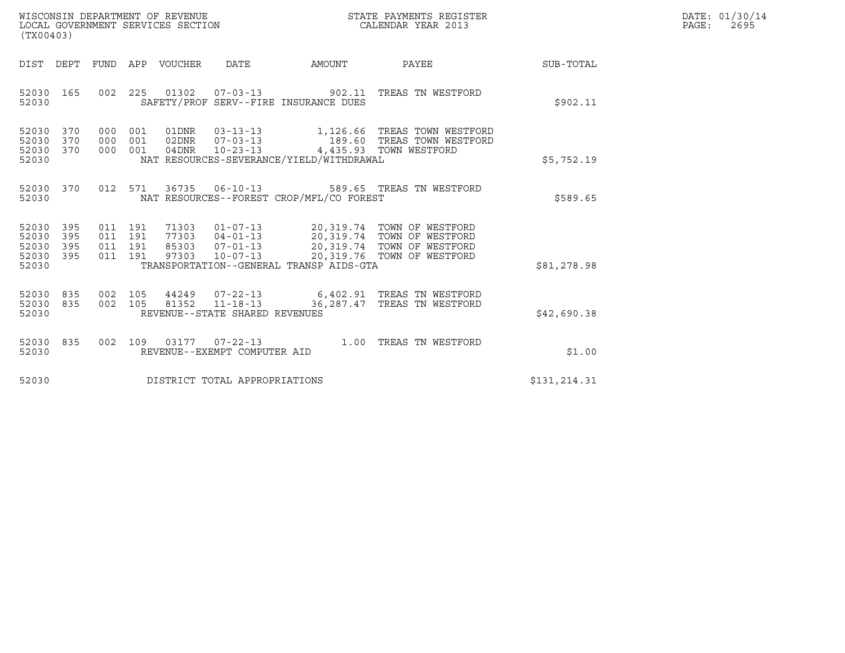| WISCONSIN DEPARTMENT OF REVENUE   | STATE PAYMENTS REGISTER | DATE: 01/30/14 |
|-----------------------------------|-------------------------|----------------|
| LOCAL GOVERNMENT SERVICES SECTION | CALENDAR YEAR 2013      | 2695<br>PAGE : |

| WISCONSIN DEPARTMENT OF REVENUE<br>LOCAL GOVERNMENT SERVICES SECTION TERMS CONFINENTS REGISTER<br>CALENDAR YEAR 2013<br>(TX00403)                    |                                                                                                                                                                                                                  |              | DATE: 01/30/14<br>$\mathtt{PAGE}$ :<br>2695 |
|------------------------------------------------------------------------------------------------------------------------------------------------------|------------------------------------------------------------------------------------------------------------------------------------------------------------------------------------------------------------------|--------------|---------------------------------------------|
| DIST DEPT FUND APP VOUCHER DATE AMOUNT PAYEE                                                                                                         |                                                                                                                                                                                                                  | SUB-TOTAL    |                                             |
| 52030 165<br>SAFETY/PROF SERV--FIRE INSURANCE DUES<br>52030                                                                                          | 002 225 01302 07-03-13 902.11 TREAS TN WESTFORD                                                                                                                                                                  | \$902.11     |                                             |
| 52030 370<br>000 001<br>52030 370<br>000 001 04DNR 10-23-13 4,435.93 TOWN WESTFORD<br>52030 370<br>NAT RESOURCES-SEVERANCE/YIELD/WITHDRAWAL<br>52030 | 01DNR  03-13-13   1,126.66 TREAS TOWN WESTFORD<br>000 001 02DNR  07-03-13    189.60 TREAS TOWN WESTFORD                                                                                                          | \$5,752.19   |                                             |
| 52030 370<br>NAT RESOURCES--FOREST CROP/MFL/CO FOREST<br>52030                                                                                       | 012 571 36735 06-10-13 589.65 TREAS TN WESTFORD                                                                                                                                                                  | \$589.65     |                                             |
| 52030 395<br>52030<br>395<br>52030<br>395<br>52030 395<br>52030<br>TRANSPORTATION--GENERAL TRANSP AIDS-GTA                                           | 011 191 71303 01-07-13 20,319.74 TOWN OF WESTFORD<br>011 191 77303 04-01-13 20,319.74 TOWN OF WESTFORD<br>011 191 97303 10-07-13 20,319.74 TOWN OF WESTFORD<br>011 191 97303 10-07-13 20,319.76 TOWN OF WESTFORD | \$81,278.98  |                                             |
| 52030 835<br>52030 835<br>REVENUE--STATE SHARED REVENUES<br>52030                                                                                    | 002 105 44249 07-22-13 6,402.91 TREAS TN WESTFORD<br>002 105 81352 11-18-13 36,287.47 TREAS TN WESTFORD                                                                                                          | \$42,690.38  |                                             |
| 52030 835<br>REVENUE--EXEMPT COMPUTER AID<br>52030                                                                                                   | 002 109 03177 07-22-13 1.00 TREAS TN WESTFORD                                                                                                                                                                    | \$1.00       |                                             |
| DISTRICT TOTAL APPROPRIATIONS<br>52030                                                                                                               |                                                                                                                                                                                                                  | \$131,214.31 |                                             |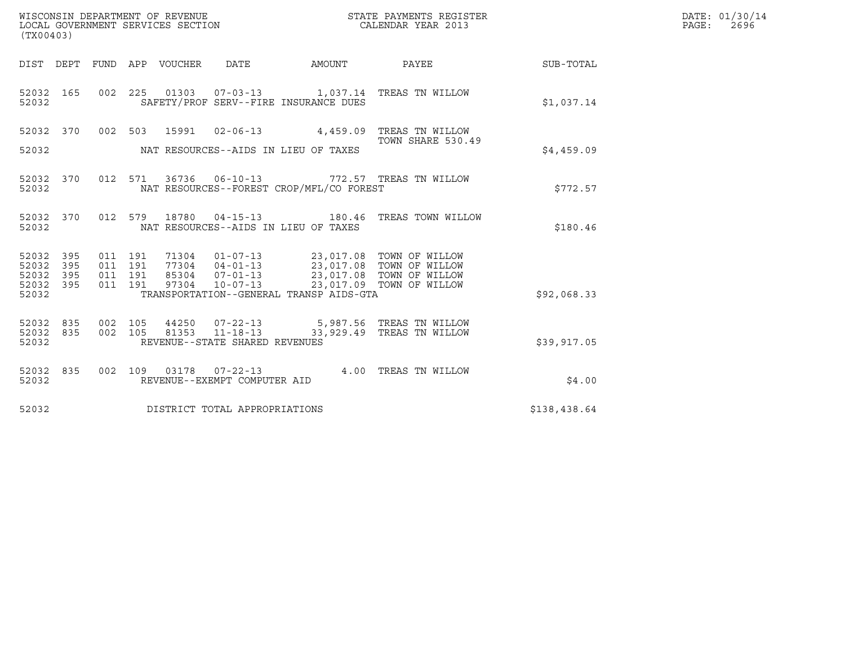| (TX00403)                                 |                          |                                          |         | WISCONSIN DEPARTMENT OF REVENUE<br>LOCAL GOVERNMENT SERVICES SECTION |                                                                    |                                                                                                                                                                                   | STATE PAYMENTS REGISTER<br>CALENDAR YEAR 2013                        |              | DATE: 01/30/14<br>PAGE:<br>2696 |
|-------------------------------------------|--------------------------|------------------------------------------|---------|----------------------------------------------------------------------|--------------------------------------------------------------------|-----------------------------------------------------------------------------------------------------------------------------------------------------------------------------------|----------------------------------------------------------------------|--------------|---------------------------------|
|                                           |                          |                                          |         | DIST DEPT FUND APP VOUCHER DATE                                      |                                                                    | AMOUNT                                                                                                                                                                            | <b>PAYEE</b>                                                         | SUB-TOTAL    |                                 |
| 52032 165<br>52032                        |                          |                                          |         |                                                                      |                                                                    | SAFETY/PROF SERV--FIRE INSURANCE DUES                                                                                                                                             | 002 225 01303 07-03-13 1,037.14 TREAS TN WILLOW                      | \$1.037.14   |                                 |
| 52032 370<br>52032                        |                          |                                          |         |                                                                      |                                                                    | NAT RESOURCES--AIDS IN LIEU OF TAXES                                                                                                                                              | 002 503 15991 02-06-13 4,459.09 TREAS TN WILLOW<br>TOWN SHARE 530.49 | \$4,459.09   |                                 |
| 52032 370<br>52032                        |                          |                                          | 012 571 |                                                                      |                                                                    | NAT RESOURCES--FOREST CROP/MFL/CO FOREST                                                                                                                                          | 36736  06-10-13  772.57  TREAS TN WILLOW                             | \$772.57     |                                 |
| 52032 370<br>52032                        |                          |                                          |         |                                                                      |                                                                    | NAT RESOURCES--AIDS IN LIEU OF TAXES                                                                                                                                              | 012 579 18780 04-15-13 180.46 TREAS TOWN WILLOW                      | \$180.46     |                                 |
| 52032<br>52032<br>52032<br>52032<br>52032 | 395<br>395<br>395<br>395 | 011 191<br>011 191<br>011 191<br>011 191 |         | 97304                                                                | $10 - 07 - 13$                                                     | 71304  01-07-13  23,017.08  TOWN OF WILLOW<br>77304  04-01-13  23,017.08  TOWN OF WILLOW<br>85304  07-01-13  23,017.08  TOWN OF WILLOW<br>TRANSPORTATION--GENERAL TRANSP AIDS-GTA | 23,017.09 TOWN OF WILLOW                                             | \$92,068.33  |                                 |
| 52032 835<br>52032<br>52032               | 835                      | 002 105<br>002 105                       |         | 81353                                                                | 44250 07-22-13<br>$11 - 18 - 13$<br>REVENUE--STATE SHARED REVENUES |                                                                                                                                                                                   | 5,987.56   TREAS  TN  WILLOW<br>33,929.49 TREAS TN WILLOW            | \$39,917.05  |                                 |
| 52032 835<br>52032                        |                          |                                          |         |                                                                      | REVENUE--EXEMPT COMPUTER AID                                       |                                                                                                                                                                                   | 002 109 03178 07-22-13 4.00 TREAS TN WILLOW                          | \$4.00       |                                 |
| 52032                                     |                          |                                          |         |                                                                      | DISTRICT TOTAL APPROPRIATIONS                                      |                                                                                                                                                                                   |                                                                      | \$138,438.64 |                                 |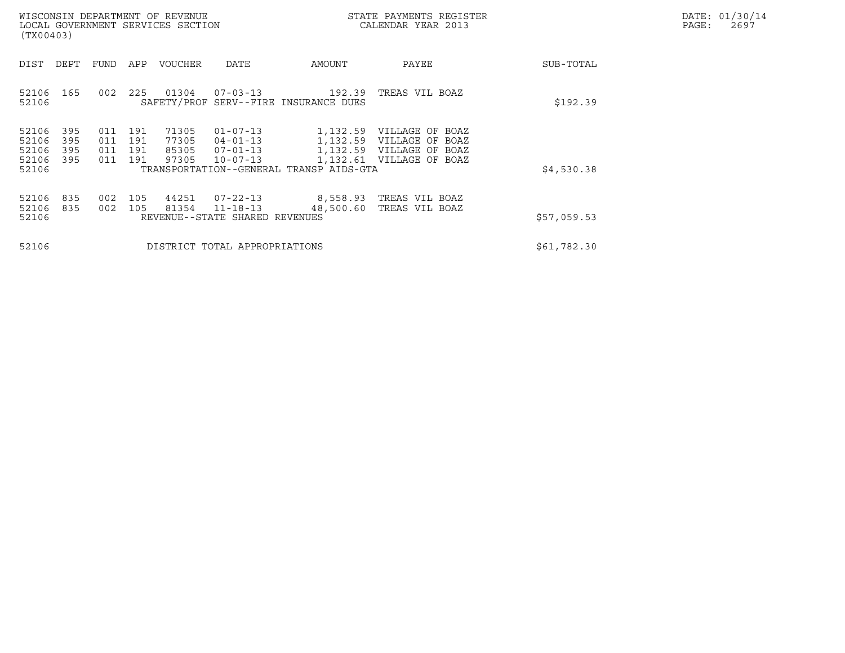|       | DATE: 01/30/14 |
|-------|----------------|
| PAGE: | 2697           |

| WISCONSIN DEPARTMENT OF REVENUE<br>LOCAL GOVERNMENT SERVICES SECTION<br>(TX00403) |                                                      |                                  |                                                              |                                                     | STATE PAYMENTS REGISTER<br>CALENDAR YEAR 2013                                                       |             | DATE: 01/30/14<br>PAGE:<br>2697 |
|-----------------------------------------------------------------------------------|------------------------------------------------------|----------------------------------|--------------------------------------------------------------|-----------------------------------------------------|-----------------------------------------------------------------------------------------------------|-------------|---------------------------------|
| DEPT<br>DIST                                                                      | FUND<br>APP                                          | VOUCHER                          | DATE                                                         | AMOUNT                                              | PAYEE                                                                                               | SUB-TOTAL   |                                 |
| 165<br>52106<br>52106                                                             | 225<br>002                                           | 01304                            | 07-03-13                                                     | 192.39<br>SAFETY/PROF SERV--FIRE INSURANCE DUES     | TREAS VIL BOAZ                                                                                      | \$192.39    |                                 |
| 52106<br>395<br>52106<br>395<br>52106<br>395<br>52106<br>395<br>52106             | 011<br>191<br>011<br>191<br>011<br>191<br>191<br>011 | 71305<br>77305<br>85305<br>97305 | $01 - 07 - 13$<br>04-01-13<br>07-01-13<br>$10 - 07 - 13$     | 1,132.61<br>TRANSPORTATION--GENERAL TRANSP AIDS-GTA | 1,132.59 VILLAGE OF BOAZ<br>1,132.59 VILLAGE OF BOAZ<br>1,132.59 VILLAGE OF BOAZ<br>VILLAGE OF BOAZ | \$4,530.38  |                                 |
| 52106<br>835<br>52106<br>835<br>52106                                             | 002<br>105<br>002<br>105                             | 44251<br>81354                   | 07-22-13<br>$11 - 18 - 13$<br>REVENUE--STATE SHARED REVENUES | 48,500.60                                           | 8,558.93 TREAS VIL BOAZ<br>TREAS VIL BOAZ                                                           | \$57,059.53 |                                 |
| 52106                                                                             |                                                      |                                  | DISTRICT TOTAL APPROPRIATIONS                                |                                                     |                                                                                                     | \$61,782.30 |                                 |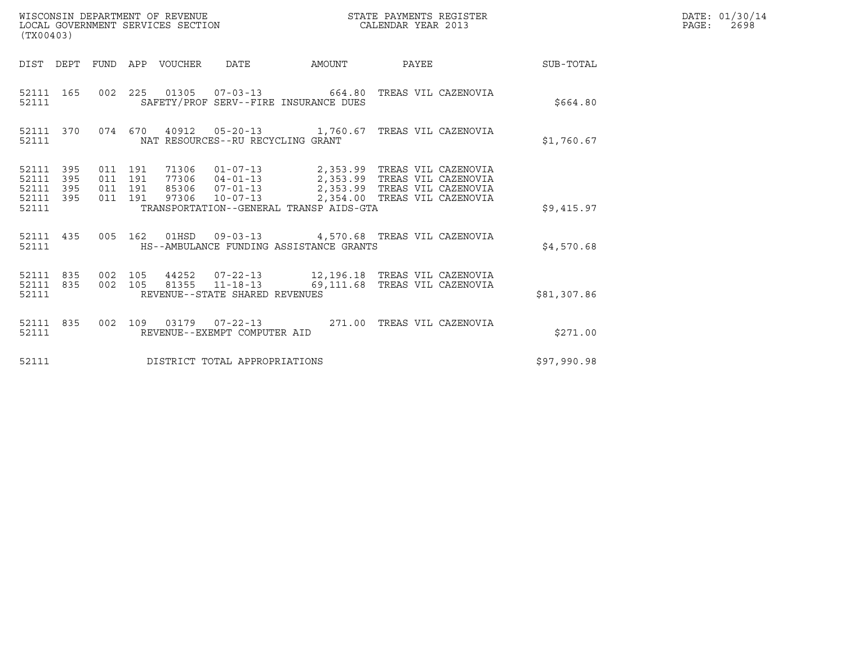| WISCONSIN DEPARTMENT OF REVENUE<br>LOCAL GOVERNMENT SERVICES SECTION | STATE PAYMENTS REGISTER<br>CALENDAR YEAR 2013 | DATE: 01/30/14<br>PAGE:<br>2698 |
|----------------------------------------------------------------------|-----------------------------------------------|---------------------------------|

| (TX00403)                                         |            |  |  |  |                                                                                                                                                                                                                                                                                                                                                                                    |  |             | DATE: 01/30/14<br>$\mathtt{PAGE}$ :<br>2698 |
|---------------------------------------------------|------------|--|--|--|------------------------------------------------------------------------------------------------------------------------------------------------------------------------------------------------------------------------------------------------------------------------------------------------------------------------------------------------------------------------------------|--|-------------|---------------------------------------------|
|                                                   |            |  |  |  | DIST DEPT FUND APP VOUCHER DATE AMOUNT PAYEE                                                                                                                                                                                                                                                                                                                                       |  | SUB-TOTAL   |                                             |
| 52111                                             |            |  |  |  | 52111 165 002 225 01305 07-03-13 664.80 TREAS VIL CAZENOVIA<br>SAFETY/PROF SERV--FIRE INSURANCE DUES                                                                                                                                                                                                                                                                               |  | \$664.80    |                                             |
| 52111                                             | 52111 370  |  |  |  | 074 670 40912 05-20-13 1,760.67 TREAS VIL CAZENOVIA<br>NAT RESOURCES--RU RECYCLING GRANT                                                                                                                                                                                                                                                                                           |  | \$1,760.67  |                                             |
| 52111 395<br>52111<br>52111<br>52111 395<br>52111 | 395<br>395 |  |  |  | $\begin{array}{cccccc} 011 & 191 & 71306 & 01-07-13 & & 2,353.99 & \text{TREAS VIL CAZENOVIA} \\ 011 & 191 & 77306 & 04-01-13 & & 2,353.99 & \text{TREAS VIL CAZENOVIA} \\ 011 & 191 & 85306 & 07-01-13 & & 2,353.99 & \text{TREAS VIL CAZENOVIA} \\ 011 & 191 & 97306 & 10-07-13 & & 2,354.00 & \text{TREAS VIL CAZENOVIA} \end{array$<br>TRANSPORTATION--GENERAL TRANSP AIDS-GTA |  | \$9.415.97  |                                             |
| 52111                                             |            |  |  |  | 52111 435 005 162 01HSD 09-03-13 4,570.68 TREAS VIL CAZENOVIA<br>HS--AMBULANCE FUNDING ASSISTANCE GRANTS                                                                                                                                                                                                                                                                           |  | \$4,570.68  |                                             |
| 52111 835<br>52111 835<br>52111                   |            |  |  |  | 002 105 44252 07-22-13 12,196.18 TREAS VIL CAZENOVIA<br>002 105 81355 11-18-13 69,111.68 TREAS VIL CAZENOVIA<br>REVENUE--STATE SHARED REVENUES                                                                                                                                                                                                                                     |  | \$81,307.86 |                                             |
| 52111 835<br>52111                                |            |  |  |  | 002 109 03179 07-22-13 271.00 TREAS VIL CAZENOVIA<br>REVENUE--EXEMPT COMPUTER AID                                                                                                                                                                                                                                                                                                  |  | \$271.00    |                                             |
|                                                   |            |  |  |  | 52111 DISTRICT TOTAL APPROPRIATIONS                                                                                                                                                                                                                                                                                                                                                |  | \$97,990.98 |                                             |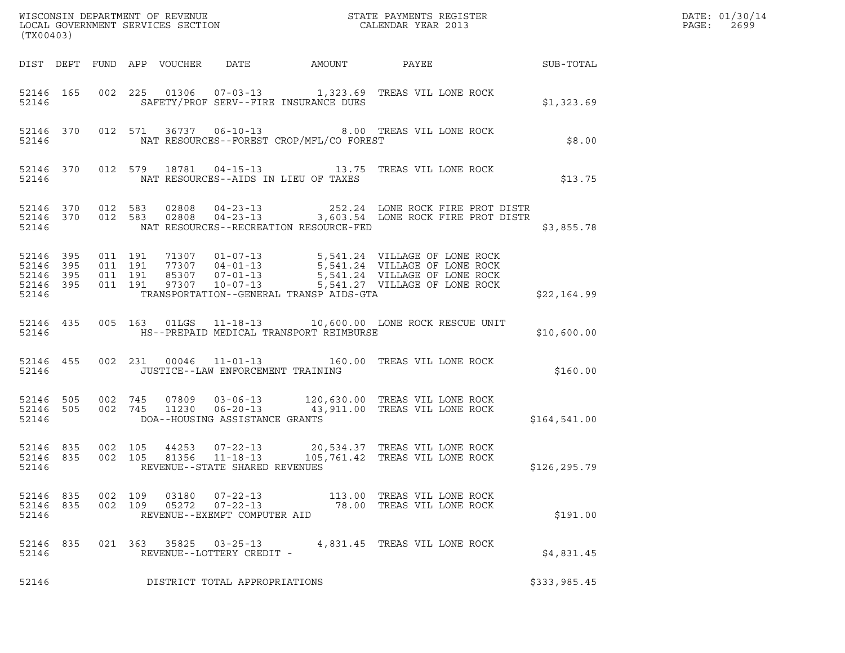| (TX00403)                       |           |                   |         |                                                    |                                          |                                                                                                                                                                                                                     | DATE: 01/30/14<br>PAGE:<br>2699 |  |
|---------------------------------|-----------|-------------------|---------|----------------------------------------------------|------------------------------------------|---------------------------------------------------------------------------------------------------------------------------------------------------------------------------------------------------------------------|---------------------------------|--|
|                                 |           |                   |         |                                                    |                                          |                                                                                                                                                                                                                     |                                 |  |
| 52146                           |           |                   |         |                                                    | SAFETY/PROF SERV--FIRE INSURANCE DUES    | 52146  165  002  225  01306  07-03-13   1,323.69  TREAS  VIL LONE ROCK                                                                                                                                              | \$1,323.69                      |  |
|                                 | 52146     |                   |         |                                                    | NAT RESOURCES--FOREST CROP/MFL/CO FOREST | 52146 370 012 571 36737 06-10-13 8.00 TREAS VIL LONE ROCK                                                                                                                                                           | \$8.00                          |  |
|                                 |           | 52146             |         |                                                    | NAT RESOURCES--AIDS IN LIEU OF TAXES     | 52146 370 012 579 18781 04-15-13 13.75 TREAS VIL LONE ROCK                                                                                                                                                          | \$13.75                         |  |
| 52146                           |           |                   |         |                                                    | NAT RESOURCES--RECREATION RESOURCE-FED   | 52146 370 012 583 02808 04-23-13 252.24 LONE ROCK FIRE PROT DISTR<br>52146 370 012 583 02808 04-23-13 3,603.54 LONE ROCK FIRE PROT DISTR                                                                            | \$3,855.78                      |  |
| 52146                           |           |                   |         |                                                    | TRANSPORTATION--GENERAL TRANSP AIDS-GTA  |                                                                                                                                                                                                                     | \$22,164.99                     |  |
|                                 |           | 52146             |         |                                                    | HS--PREPAID MEDICAL TRANSPORT REIMBURSE  | 52146 435 005 163 01LGS 11-18-13 10,600.00 LONE ROCK RESCUE UNIT                                                                                                                                                    | \$10,600.00                     |  |
|                                 |           | 52146             |         |                                                    | JUSTICE--LAW ENFORCEMENT TRAINING        | 52146 455 002 231 00046 11-01-13 160.00 TREAS VIL LONE ROCK                                                                                                                                                         | \$160.00                        |  |
| 52146                           |           |                   |         | DOA--HOUSING ASSISTANCE GRANTS                     |                                          | $\begin{array}{cccccc} 52146 & 505 & 002 & 745 & 07809 & 03-06-13 & & 120,630.00 & \text{TREAS VIL LONE ROCK} \\ 52146 & 505 & 002 & 745 & 11230 & 06-20-13 & & 43,911.00 & \text{TREAS VIL LONE ROCK} \end{array}$ | \$164,541.00                    |  |
| 52146 835<br>52146 835<br>52146 |           | 002 105           | 002 105 | REVENUE--STATE SHARED REVENUES                     |                                          | 44253  07-22-13  20,534.37  TREAS  VIL LONE ROCK<br>81356  11-18-13   105,761.42  TREAS  VIL LONE ROCK                                                                                                              | \$126,295.79                    |  |
| 52146                           | 52146 835 | 52146 835 002 109 | 002 109 | $05272$ $07-22-13$<br>REVENUE--EXEMPT COMPUTER AID |                                          | 78.00 TREAS VIL LONE ROCK                                                                                                                                                                                           | \$191.00                        |  |
| 52146 835<br>52146              |           |                   |         | REVENUE--LOTTERY CREDIT -                          |                                          | 021  363  35825  03-25-13  4,831.45  TREAS VIL LONE ROCK                                                                                                                                                            | \$4,831.45                      |  |
| 52146                           |           |                   |         | DISTRICT TOTAL APPROPRIATIONS                      |                                          |                                                                                                                                                                                                                     | \$333,985.45                    |  |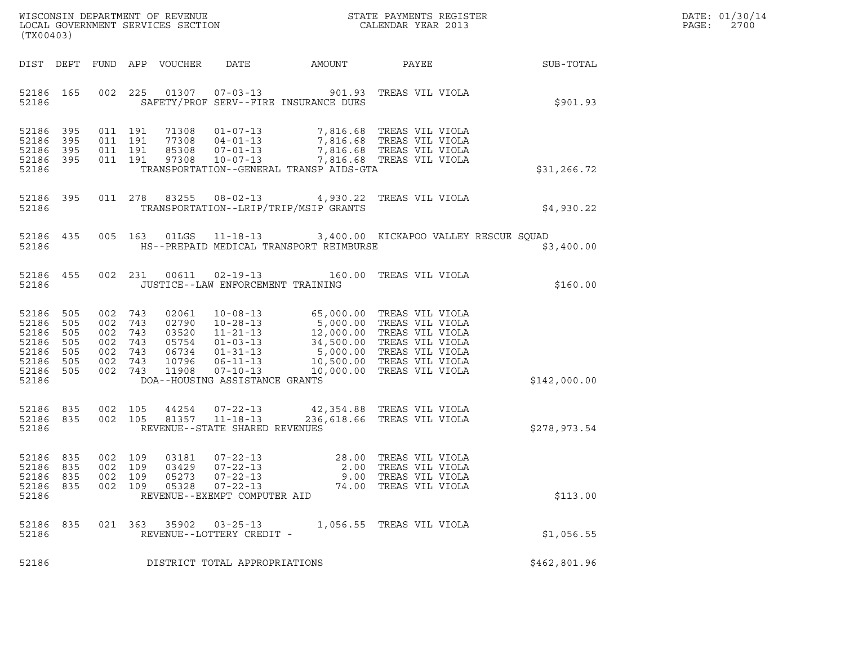| WISCONSIN DEPARTMENT OF REVENUE   | STATE PAYMENTS REGISTER | DATE: 01/30/14 |
|-----------------------------------|-------------------------|----------------|
| LOCAL GOVERNMENT SERVICES SECTION | CALENDAR YEAR 2013      | 2700<br>PAGE:  |

| WISCONSIN DEPARTMENT OF REVENUE<br>LOCAL GOVERNMENT SERVICES SECTION THE STATE PAYMENTS REGISTER<br>(TX00403)<br>(TX00403)                                                                                                                                                              |                                               | $\mathbb{R}^n$<br>DATE: 01/30/14<br>PAGE: 2700 |  |
|-----------------------------------------------------------------------------------------------------------------------------------------------------------------------------------------------------------------------------------------------------------------------------------------|-----------------------------------------------|------------------------------------------------|--|
| DIST DEPT FUND APP VOUCHER DATE AMOUNT PAYEE PAYER SUB-TOTAL                                                                                                                                                                                                                            |                                               |                                                |  |
| 002 225 01307 07-03-13 901.93 TREAS VIL VIOLA<br>52186 165<br>52186   SAFETY/PROF SERV--FIRE INSURANCE DUES                                                                                                                                                                             |                                               | \$901.93                                       |  |
| 52186 395 011 191 71308 01-07-13 7,816.68 TREAS VIL VIOLA<br>52186 395 011 191 77308 04-01-13 7,816.68 TREAS VIL VIOLA<br>52186 395 011 191 85308 07-01-13 7,816.68 TREAS VIL VIOLA<br>52186 395 011 191 97308 10-07-13 7,816.68 TREAS<br>52186 TRANSPORTATION--GENERAL TRANSP AIDS-GTA |                                               | \$31,266.72                                    |  |
| 52186 395 011 278 83255 08-02-13 4,930.22 TREAS VIL VIOLA<br>52186 TRANSPORTATION--LRIP/TRIP/MSIP GRANTS                                                                                                                                                                                |                                               | \$4,930.22                                     |  |
| 52186 435 005 163 01LGS 11-18-13 3,400.00 KICKAPOO VALLEY RESCUE SQUAD<br>52186 MS--PREPAID MEDICAL TRANSPORT REIMBURSE                                                                                                                                                                 |                                               | \$3,400.00                                     |  |
| 52186 455 002 231 00611 02-19-13 160.00 TREAS VIL VIOLA<br>52186 JUSTICE--LAW ENFORCEMENT TRAINING                                                                                                                                                                                      |                                               | \$160.00                                       |  |
| 52186 505 002 743 02061 10-08-13 65,000.00 TREAS VIL VIOLA<br>52186 505 002 743 02790 10-28-13 5,000.00 TREAS VIL VIOLA<br>52186 505 002 743 03520 11-21-13 12,000.00 TREAS VIL VIOLA<br>52186 505 002 743 05754 01-03-13 34,500.00 TRE<br>DOA--HOUSING ASSISTANCE GRANTS<br>52186      |                                               | \$142,000.00                                   |  |
| $\begin{array}{cccccccc} 52186 & 835 & 002 & 105 & 44254 & 07-22-13 & & 42,354.88 & \text{TREAS VII VIOLA} \\ 52186 & 835 & 002 & 105 & 81357 & 11-18-13 & & 236,618.66 & \text{TREAS VII VIOLA} \end{array}$<br>52186 REVENUE--STATE SHARED REVENUES                                   |                                               | \$278,973.54                                   |  |
| 002 109 03181 07-22-13 28.00 TREAS VIL VIOLA<br>002 109 03429 07-22-13 2.00 TREAS VIL VIOLA<br>52186 835<br>52186 835<br>52186 835<br>002 109<br>05273<br>$07 - 22 - 13$<br>52186 835<br>002 109<br>05328<br>$07 - 22 - 13$<br>52186<br>REVENUE--EXEMPT COMPUTER AID                    | 9.00 TREAS VIL VIOLA<br>74.00 TREAS VIL VIOLA | \$113.00                                       |  |
| 52186 835<br>021 363 35902<br>$03 - 25 - 13$<br>52186<br>REVENUE--LOTTERY CREDIT -                                                                                                                                                                                                      | 1,056.55 TREAS VIL VIOLA                      | \$1,056.55                                     |  |
| 52186<br>DISTRICT TOTAL APPROPRIATIONS                                                                                                                                                                                                                                                  |                                               | \$462,801.96                                   |  |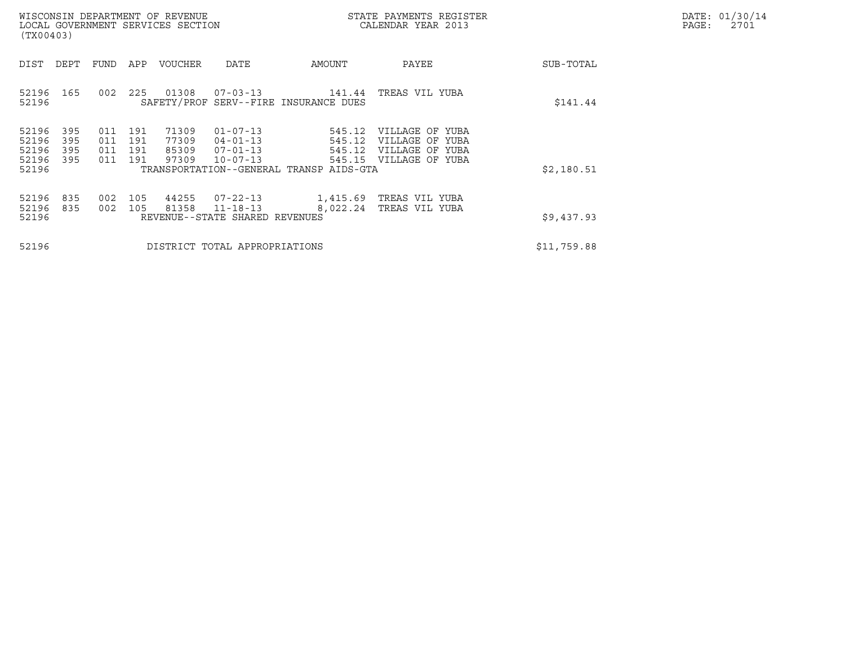| WISCONSIN DEPARTMENT OF REVENUE<br>LOCAL GOVERNMENT SERVICES SECTION<br>(TX00403)                                                                                                                                             |                                                                       | STATE PAYMENTS REGISTER<br>CALENDAR YEAR 2013                                   |             | DATE: 01/30/14<br>$\mathtt{PAGE}$ :<br>2701 |
|-------------------------------------------------------------------------------------------------------------------------------------------------------------------------------------------------------------------------------|-----------------------------------------------------------------------|---------------------------------------------------------------------------------|-------------|---------------------------------------------|
| DIST DEPT FUND APP VOUCHER<br>DATE                                                                                                                                                                                            | AMOUNT                                                                | PAYEE                                                                           | SUB-TOTAL   |                                             |
| 52196 165 002 225 01308 07-03-13<br>SAFETY/PROF SERV--FIRE INSURANCE DUES<br>52196                                                                                                                                            |                                                                       | 141.44 TREAS VIL YUBA                                                           | \$141.44    |                                             |
| 52196<br>395<br>011 191<br>71309<br>$01 - 07 - 13$<br>52196<br>011 191<br>395<br>77309<br>$04 - 01 - 13$<br>52196<br>395<br>011 191<br>85309<br>$07 - 01 - 13$<br>52196<br>011 191<br>395<br>97309<br>$10 - 07 - 13$<br>52196 | 545.12<br>545.12<br>545.12<br>TRANSPORTATION--GENERAL TRANSP AIDS-GTA | VILLAGE OF YUBA<br>VILLAGE OF YUBA<br>VILLAGE OF YUBA<br>545.15 VILLAGE OF YUBA | \$2,180.51  |                                             |
| 002 105<br>52196<br>835<br>44255 07-22-13<br>52196<br>81358<br>835<br>002 105<br>52196<br>REVENUE--STATE SHARED REVENUES                                                                                                      | 1,415.69   TREAS VIL YUBA<br>$11 - 18 - 13$                           | 8,022.24 TREAS VIL YUBA                                                         | \$9,437.93  |                                             |
| 52196<br>DISTRICT TOTAL APPROPRIATIONS                                                                                                                                                                                        |                                                                       |                                                                                 | \$11,759.88 |                                             |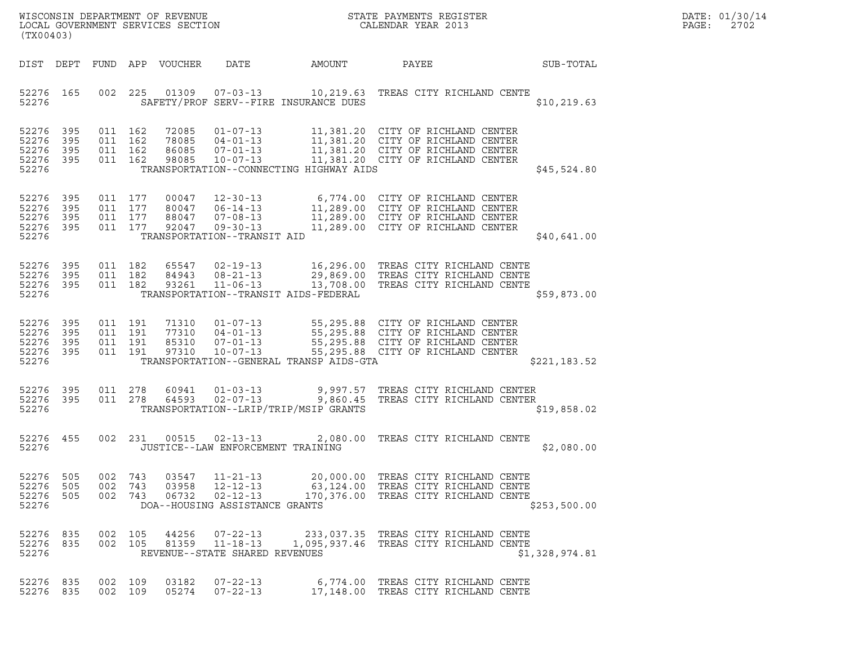| (TX00403)                                             |            |                                          |                |                            |                                                                                      |                                         | $\tt WISCONSIM DEPARTMENT OF REVENUE$ $\tt WISCONSIMENTS REGISTER$<br>LOCAL GOVERNMENT SERVICES SECTION $\tt CALENDAR YEAR$ 2013                                                                                                            |                | DATE: 01/30/14<br>$\mathtt{PAGE:}$<br>2702 |
|-------------------------------------------------------|------------|------------------------------------------|----------------|----------------------------|--------------------------------------------------------------------------------------|-----------------------------------------|---------------------------------------------------------------------------------------------------------------------------------------------------------------------------------------------------------------------------------------------|----------------|--------------------------------------------|
|                                                       |            |                                          |                | DIST DEPT FUND APP VOUCHER | DATE                                                                                 | AMOUNT                                  | PAYEE                                                                                                                                                                                                                                       | SUB-TOTAL      |                                            |
| 52276                                                 | 52276 165  |                                          |                |                            |                                                                                      | SAFETY/PROF SERV--FIRE INSURANCE DUES   | 002 225 01309 07-03-13 10,219.63 TREAS CITY RICHLAND CENTE                                                                                                                                                                                  | \$10, 219.63   |                                            |
| 52276 395<br>52276<br>52276 395<br>52276 395<br>52276 | 395        | 011 162<br>011 162<br>011 162<br>011 162 |                | 72085                      |                                                                                      | TRANSPORTATION--CONNECTING HIGHWAY AIDS | 01-07-13 11,381.20 CITY OF RICHLAND CENTER<br>78085 04-01-13<br>86085 07-01-13 11,381.20 CITY OF RICHLAND CENTER<br>98085 10-07-13 11,381.20 CITY OF RICHLAND CENTER<br>11,381.20 CITY OF RICHLAND CENTER                                   | \$45,524.80    |                                            |
| 52276<br>52276<br>52276 395<br>52276 395<br>52276     | 395<br>395 | 011 177<br>011 177<br>011 177<br>011 177 |                |                            | TRANSPORTATION--TRANSIT AID                                                          |                                         | 00047 12-30-13 6,774.00 CITY OF RICHLAND CENTER<br>80047 06-14-13 11,289.00 CITY OF RICHLAND CENTER<br>88047 07-08-13 11,289.00 CITY OF RICHLAND CENTER<br>92047 09-30-13 11,289.00 CITY OF RICHLAND CENTER                                 | \$40,641.00    |                                            |
| 52276 395<br>52276<br>52276 395<br>52276              | 395        | 011 182<br>011 182<br>011 182            |                | 84943<br>93261             | $08 - 21 - 13$<br>$11 - 06 - 13$                                                     | TRANSPORTATION--TRANSIT AIDS-FEDERAL    | 65547 02-19-13 16,296.00 TREAS CITY RICHLAND CENTE<br>29,869.00 TREAS CITY RICHLAND CENTE<br>13,708.00 TREAS CITY RICHLAND CENTE                                                                                                            | \$59,873.00    |                                            |
| 52276 395<br>52276<br>52276 395<br>52276 395<br>52276 | 395        | 011 191<br>011 191<br>011 191<br>011 191 |                | 97310                      | $10 - 07 - 13$                                                                       | TRANSPORTATION--GENERAL TRANSP AIDS-GTA | 71310  01-07-13  55,295.88  CITY OF RICHLAND CENTER<br>77310  04-01-13  55,295.88  CITY OF RICHLAND CENTER<br>85310  07-01-13  55,295.88  CITY OF RICHLAND CENTER<br>55,295.88 CITY OF RICHLAND CENTER<br>55,295.88 CITY OF RICHLAND CENTER | \$221, 183.52  |                                            |
| 52276 395<br>52276 395<br>52276                       |            | 011 278<br>011 278                       |                | 60941<br>64593             | $01 - 03 - 13$<br>$02 - 07 - 13$                                                     | TRANSPORTATION--LRIP/TRIP/MSIP GRANTS   | 9,997.57   TREAS CITY RICHLAND CENTER<br>9,860.45   TREAS CITY RICHLAND CENTER                                                                                                                                                              | \$19,858.02    |                                            |
| 52276 455<br>52276                                    |            |                                          |                |                            | JUSTICE--LAW ENFORCEMENT TRAINING                                                    |                                         | 002 231 00515 02-13-13 2,080.00 TREAS CITY RICHLAND CENTE                                                                                                                                                                                   | \$2,080.00     |                                            |
| 52276<br>52276<br>52276 505<br>52276                  | 505<br>505 | 002 743<br>002                           | 743<br>002 743 | 03547<br>03958<br>06732    | $11 - 21 - 13$<br>$12 - 12 - 13$<br>$02 - 12 - 13$<br>DOA--HOUSING ASSISTANCE GRANTS |                                         | 20,000.00 TREAS CITY RICHLAND CENTE<br>63,124.00 TREAS CITY RICHLAND CENTE<br>170,376.00 TREAS CITY RICHLAND CENTE                                                                                                                          | \$253,500.00   |                                            |
| 52276 835<br>52276 835<br>52276                       |            | 002 105<br>002 105                       |                | 44256<br>81359             | $07 - 22 - 13$<br>$11 - 18 - 13$<br>REVENUE--STATE SHARED REVENUES                   |                                         | 233,037.35 TREAS CITY RICHLAND CENTE<br>1,095,937.46 TREAS CITY RICHLAND CENTE                                                                                                                                                              | \$1,328,974.81 |                                            |
| 52276 835<br>52276 835                                |            | 002 109<br>002 109                       |                | 03182<br>05274             | $07 - 22 - 13$<br>$07 - 22 - 13$                                                     |                                         | 6,774.00 TREAS CITY RICHLAND CENTE<br>17,148.00 TREAS CITY RICHLAND CENTE                                                                                                                                                                   |                |                                            |